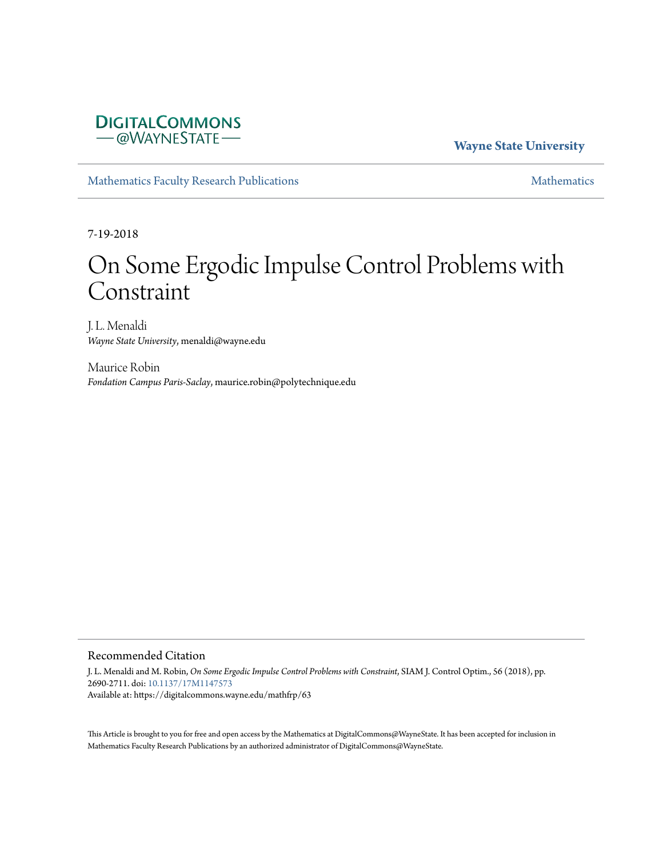## **DIGITALCOMMONS** - @WAYNESTATE-

**Wayne State University**

[Mathematics Faculty Research Publications](https://digitalcommons.wayne.edu/mathfrp) [Mathematics](https://digitalcommons.wayne.edu/math) Mathematics

7-19-2018

# On Some Ergodic Impulse Control Problems with Constraint

J. L. Menaldi *Wayne State University*, menaldi@wayne.edu

Maurice Robin *Fondation Campus Paris-Saclay*, maurice.robin@polytechnique.edu

## Recommended Citation

J. L. Menaldi and M. Robin, *On Some Ergodic Impulse Control Problems with Constraint*, SIAM J. Control Optim., 56 (2018), pp. 2690-2711. doi: [10.1137/17M1147573](https://dx.doi.org/10.1137/17M1147573) Available at: https://digitalcommons.wayne.edu/mathfrp/63

This Article is brought to you for free and open access by the Mathematics at DigitalCommons@WayneState. It has been accepted for inclusion in Mathematics Faculty Research Publications by an authorized administrator of DigitalCommons@WayneState.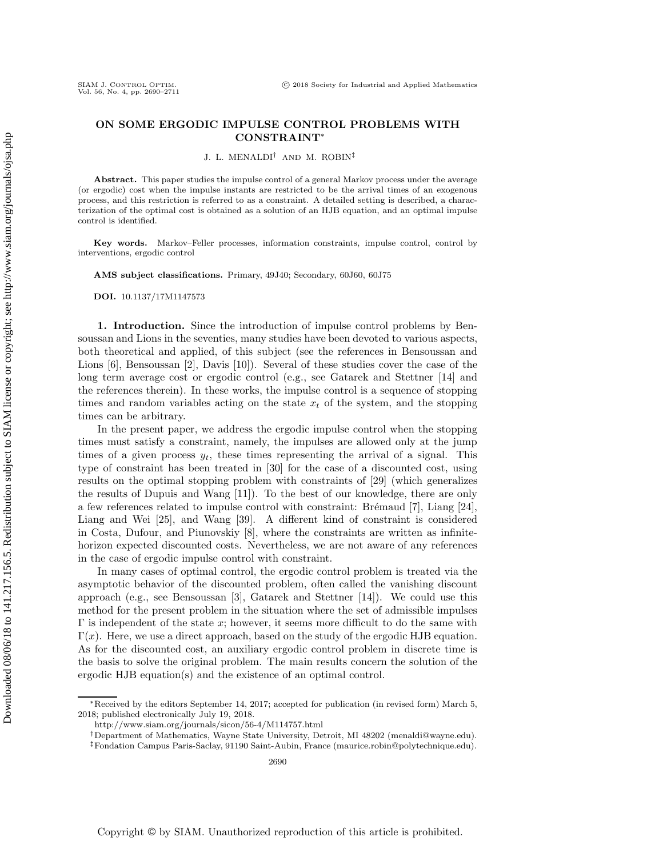### **ON SOME ERGODIC IMPULSE CONTROL PROBLEMS WITH CONSTRAINT**<sup>∗</sup>

J. L. MENALDI† AND M. ROBIN‡

Abstract. This paper studies the impulse control of a general Markov process under the average (or ergodic) cost when the impulse instants are restricted to be the arrival times of an exogenous process, and this restriction is referred to as a constraint. A detailed setting is described, a characterization of the optimal cost is obtained as a solution of an HJB equation, and an optimal impulse control is identified.

**Key words.** Markov–Feller processes, information constraints, impulse control, control by interventions, ergodic control

**AMS subject classifications.** Primary, 49J40; Secondary, 60J60, 60J75

**DOI.** 10.1137/17M1147573

**1. Introduction.** Since the introduction of impulse control problems by Bensoussan and Lions in the seventies, many studies have been devoted to various aspects, both theoretical and applied, of this subject (see the references in Bensoussan and Lions [\[6\]](#page-21-0), Bensoussan [\[2\]](#page-21-1), Davis [\[10\]](#page-21-2)). Several of these studies cover the case of the long term average cost or ergodic control (e.g., see Gatarek and Stettner [\[14\]](#page-21-3) and the references therein). In these works, the impulse control is a sequence of stopping times and random variables acting on the state  $x_t$  of the system, and the stopping times can be arbitrary.

In the present paper, we address the ergodic impulse control when the stopping times must satisfy a constraint, namely, the impulses are allowed only at the jump times of a given process  $y_t$ , these times representing the arrival of a signal. This type of constraint has been treated in [\[30\]](#page-22-0) for the case of a discounted cost, using results on the optimal stopping problem with constraints of [\[29\]](#page-22-1) (which generalizes the results of Dupuis and Wang [\[11\]](#page-21-4)). To the best of our knowledge, there are only a few references related to impulse control with constraint: Brémaud  $[7]$ , Liang  $[24]$ , Liang and Wei [\[25\]](#page-21-7), and Wang [\[39\]](#page-22-2). A different kind of constraint is considered in Costa, Dufour, and Piunovskiy [\[8\]](#page-21-8), where the constraints are written as infinitehorizon expected discounted costs. Nevertheless, we are not aware of any references in the case of ergodic impulse control with constraint.

In many cases of optimal control, the ergodic control problem is treated via the asymptotic behavior of the discounted problem, often called the vanishing discount approach (e.g., see Bensoussan [\[3\]](#page-21-9), Gatarek and Stettner [\[14\]](#page-21-3)). We could use this method for the present problem in the situation where the set of admissible impulses  $\Gamma$  is independent of the state  $x$ ; however, it seems more difficult to do the same with  $\Gamma(x)$ . Here, we use a direct approach, based on the study of the ergodic HJB equation. As for the discounted cost, an auxiliary ergodic control problem in discrete time is the basis to solve the original problem. The main results concern the solution of the ergodic HJB equation(s) and the existence of an optimal control.

<sup>∗</sup>Received by the editors September 14, 2017; accepted for publication (in revised form) March 5, 2018; published electronically July 19, 2018.

<http://www.siam.org/journals/sicon/56-4/M114757.html>

<sup>†</sup>Department of Mathematics, Wayne State University, Detroit, MI 48202 [\(menaldi@wayne.edu\)](mailto:menaldi@wayne.edu).

<sup>‡</sup>Fondation Campus Paris-Saclay, 91190 Saint-Aubin, France [\(maurice.robin@polytechnique.edu\)](mailto:maurice.robin@polytechnique.edu).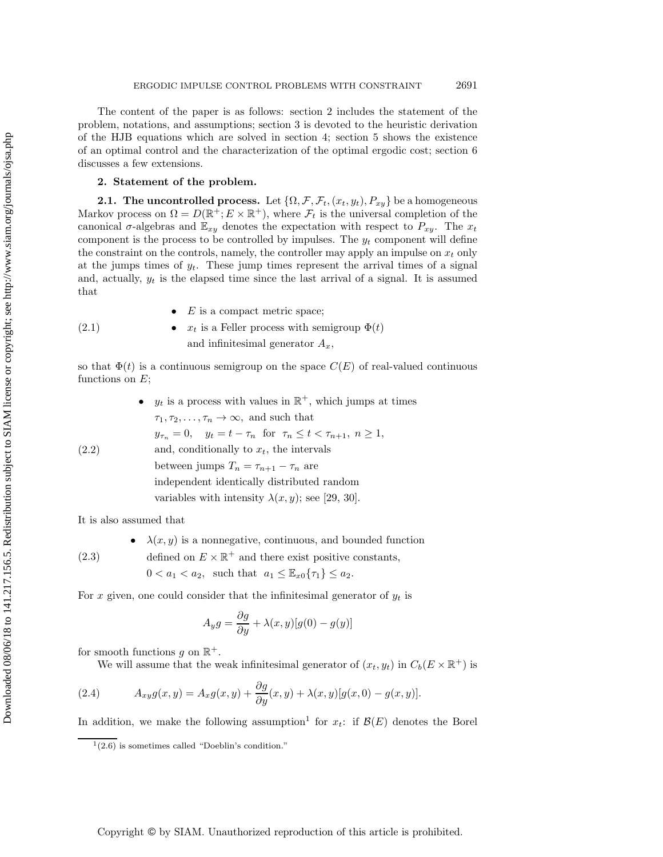The content of the paper is as follows: section [2](#page-2-0) includes the statement of the problem, notations, and assumptions; section [3](#page-5-0) is devoted to the heuristic derivation of the HJB equations which are solved in section [4;](#page-8-0) section [5](#page-10-0) shows the existence of an optimal control and the characterization of the optimal ergodic cost; section [6](#page-19-0) discusses a few extensions.

#### <span id="page-2-0"></span>**2. Statement of the problem.**

<span id="page-2-2"></span>**2.1. The uncontrolled process.** Let  $\{\Omega, \mathcal{F}, \mathcal{F}_t, (x_t, y_t), P_{xy}\}$  be a homogeneous Markov process on  $\Omega = D(\mathbb{R}^+; E \times \mathbb{R}^+)$ , where  $\mathcal{F}_t$  is the universal completion of the canonical  $\sigma$ -algebras and  $\mathbb{E}_{xy}$  denotes the expectation with respect to  $P_{xy}$ . The  $x_t$ component is the process to be controlled by impulses. The  $y_t$  component will define the constraint on the controls, namely, the controller may apply an impulse on  $x_t$  only at the jumps times of  $y_t$ . These jump times represent the arrival times of a signal and, actually,  $y_t$  is the elapsed time since the last arrival of a signal. It is assumed that

<span id="page-2-4"></span>(2.1) •  $E$  is a compact metric space; •  $x_t$  is a Feller process with semigroup  $\Phi(t)$ and infinitesimal generator  $A_x$ ,

so that  $\Phi(t)$  is a continuous semigroup on the space  $C(E)$  of real-valued continuous functions on  $E$ ;

\n- $$
y_t
$$
 is a process with values in  $\mathbb{R}^+$ , which jumps at times  $\tau_1, \tau_2, \ldots, \tau_n \to \infty$ , and such that  $y_{\tau_n} = 0$ ,  $y_t = t - \tau_n$  for  $\tau_n \leq t < \tau_{n+1}$ ,  $n \geq 1$ , and, conditionally to  $x_t$ , the intervals between jumps  $T_n = \tau_{n+1} - \tau_n$  are independent identically distributed random variables with intensity  $\lambda(x, y)$ ; see [29, 30].
\n

It is also assumed that

•  $\lambda(x, y)$  is a nonnegative, continuous, and bounded function defined on  $E \times \mathbb{R}^+$  and there exist positive constants,

(2.3)

 $0 < a_1 < a_2$ , such that  $a_1 \leq \mathbb{E}_{x0} \{ \tau_1 \} \leq a_2$ .

For x given, one could consider that the infinitesimal generator of  $y_t$  is

$$
A_y g = \frac{\partial g}{\partial y} + \lambda(x, y)[g(0) - g(y)]
$$

for smooth functions g on  $\mathbb{R}^+$ .

<span id="page-2-3"></span>We will assume that the weak infinitesimal generator of  $(x_t, y_t)$  in  $C_b(E \times \mathbb{R}^+)$  is

(2.4) 
$$
A_{xy}g(x,y) = A_xg(x,y) + \frac{\partial g}{\partial y}(x,y) + \lambda(x,y)[g(x,0) - g(x,y)].
$$

In addition, we make the following assumption<sup>[1](#page-2-1)</sup> for  $x_t$ : if  $\mathcal{B}(E)$  denotes the Borel

<span id="page-2-1"></span> $1(2.6)$  $1(2.6)$  is sometimes called "Doeblin's condition."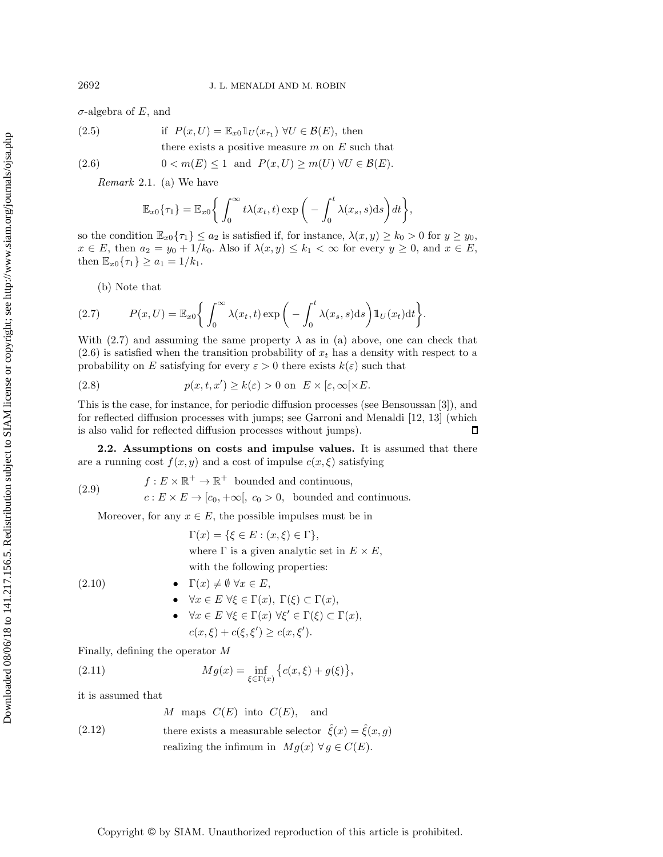$\sigma$ -algebra of E, and

<span id="page-3-4"></span>(2.5) if 
$$
P(x, U) = \mathbb{E}_{x0} \mathbb{1}_U(x_{\tau_1}) \ \forall U \in \mathcal{B}(E)
$$
, then  
there exists a positive measure m on E such that

Hint: 
$$
(B \cup B)
$$
 is a positive measure  $m$  on  $D$  such that

\n
$$
D(x, y) = (D \cup D)
$$

<span id="page-3-0"></span>(2.6) 
$$
0 < m(E) \le 1 \text{ and } P(x, U) \ge m(U) \ \forall U \in \mathcal{B}(E).
$$

*Remark* 2.1. (a) We have

$$
\mathbb{E}_{x0}\{\tau_1\} = \mathbb{E}_{x0}\left\{\int_0^\infty t\lambda(x_t,t)\exp\bigg(-\int_0^t\lambda(x_s,s)\mathrm{d} s\bigg)dt\right\},\,
$$

so the condition  $\mathbb{E}_{x0}\{\tau_1\} \leq a_2$  is satisfied if, for instance,  $\lambda(x, y) \geq k_0 > 0$  for  $y \geq y_0$ ,  $x \in E$ , then  $a_2 = y_0 + 1/k_0$ . Also if  $\lambda(x, y) \leq k_1 < \infty$  for every  $y \geq 0$ , and  $x \in E$ , then  $\mathbb{E}_{x0}\{\tau_1\} \ge a_1 = 1/k_1$ .

<span id="page-3-1"></span>(b) Note that

(2.7) 
$$
P(x, U) = \mathbb{E}_{x0}\bigg\{\int_0^\infty \lambda(x_t, t) \exp\bigg(-\int_0^t \lambda(x_s, s) \mathrm{d} s\bigg) \mathbb{1}_U(x_t) \mathrm{d} t\bigg\}.
$$

With [\(2.7\)](#page-3-1) and assuming the same property  $\lambda$  as in (a) above, one can check that  $(2.6)$  is satisfied when the transition probability of  $x_t$  has a density with respect to a probability on E satisfying for every  $\varepsilon > 0$  there exists  $k(\varepsilon)$  such that

<span id="page-3-8"></span>(2.8) 
$$
p(x, t, x') \ge k(\varepsilon) > 0 \text{ on } E \times [\varepsilon, \infty[ \times E].
$$

This is the case, for instance, for periodic diffusion processes (see Bensoussan [\[3\]](#page-21-9)), and for reflected diffusion processes with jumps; see Garroni and Menaldi [\[12,](#page-21-10) [13\]](#page-21-11) (which is also valid for reflected diffusion processes without jumps).  $\Box$ 

<span id="page-3-7"></span>**2.2. Assumptions on costs and impulse values.** It is assumed that there are a running cost  $f(x, y)$  and a cost of impulse  $c(x, \xi)$  satisfying

(2.9)  $f : E \times \mathbb{R}^+ \to \mathbb{R}^+$  bounded and continuous,  $c: E \times E \to [c_0, +\infty], c_0 > 0$ , bounded and continuous.

Moreover, for any  $x \in E$ , the possible impulses must be in

$$
\Gamma(x) = \{ \xi \in E : (x, \xi) \in \Gamma \},
$$

where  $\Gamma$  is a given analytic set in  $E \times E$ ,

with the following properties:

#### (2.10) •  $\Gamma(x) \neq \emptyset \ \forall x \in E,$

- <span id="page-3-2"></span>•  $\forall x \in E \ \forall \xi \in \Gamma(x), \ \Gamma(\xi) \subset \Gamma(x),$
- $\forall x \in E \ \forall \xi \in \Gamma(x) \ \forall \xi' \in \Gamma(\xi) \subset \Gamma(x)$ ,  $c(x,\xi) + c(\xi,\xi') \geq c(x,\xi').$

Finally, defining the operator M

(2.11) 
$$
Mg(x) = \inf_{\xi \in \Gamma(x)} \{c(x,\xi) + g(\xi)\},\,
$$

it is assumed that

<span id="page-3-5"></span><span id="page-3-3"></span>
$$
M
$$
 maps  $C(E)$  into  $C(E)$ , and

<span id="page-3-6"></span>(2.12) there exists a measurable selector  $\hat{\xi}(x) = \hat{\xi}(x, g)$ realizing the infimum in  $Mg(x) \forall g \in C(E)$ .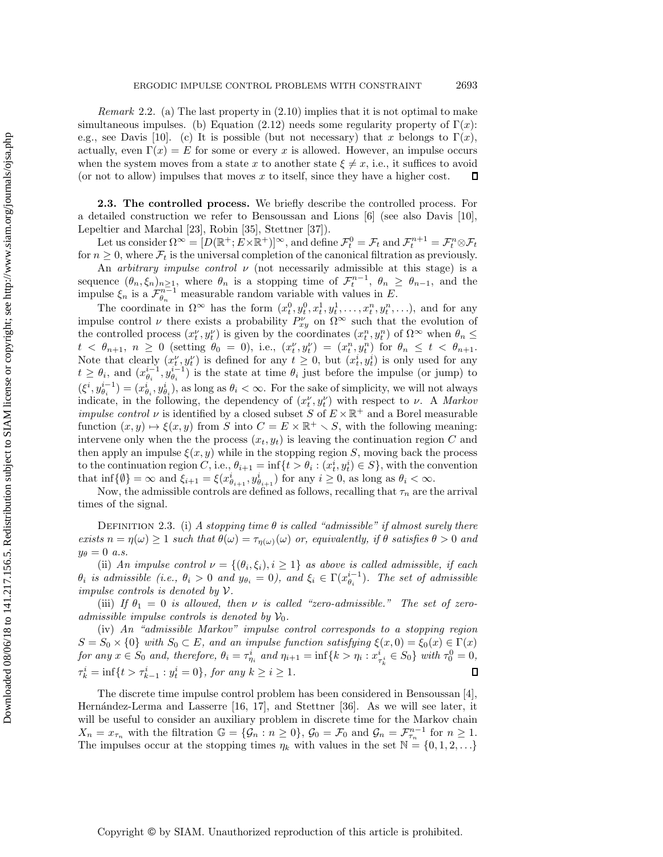*Remark* 2.2. (a) The last property in [\(2.10\)](#page-3-2) implies that it is not optimal to make simultaneous impulses. (b) Equation [\(2.12\)](#page-3-3) needs some regularity property of  $\Gamma(x)$ : e.g., see Davis [\[10\]](#page-21-2). (c) It is possible (but not necessary) that x belongs to  $\Gamma(x)$ , actually, even  $\Gamma(x) = E$  for some or every x is allowed. However, an impulse occurs when the system moves from a state x to another state  $\xi \neq x$ , i.e., it suffices to avoid (or not to allow) impulses that moves x to itself, since they have a higher cost.  $\Box$ 

**2.3. The controlled process.** We briefly describe the controlled process. For a detailed construction we refer to Bensoussan and Lions [\[6\]](#page-21-0) (see also Davis [\[10\]](#page-21-2), Lepeltier and Marchal [\[23\]](#page-21-12), Robin [\[35\]](#page-22-3), Stettner [\[37\]](#page-22-4)).

Let us consider  $\Omega^{\infty} = [D(\mathbb{R}^+; E \times \mathbb{R}^+)]^{\infty}$ , and define  $\mathcal{F}_t^0 = \mathcal{F}_t$  and  $\mathcal{F}_t^{n+1} = \mathcal{F}_t^n \otimes \mathcal{F}_t$ for  $n \geq 0$ , where  $\mathcal{F}_t$  is the universal completion of the canonical filtration as previously.

An *arbitrary impulse control* ν (not necessarily admissible at this stage) is a sequence  $(\theta_n, \xi_n)_{n\geq 1}$ , where  $\theta_n$  is a stopping time of  $\mathcal{F}_t^{n-1}$ ,  $\theta_n \geq \theta_{n-1}$ , and the impulse  $\xi_n$  is a  $\mathcal{F}_{\theta_n}^{n-1}$  measurable random variable with values in E.

The coordinate in  $\Omega^{\infty}$  has the form  $(x_t^0, y_t^0, x_t^1, y_t^1, \ldots, x_t^n, y_t^n, \ldots)$ , and for any impulse control  $\nu$  there exists a probability  $P_{x_i}^{\nu}$  on  $\Omega^{\infty}$  such that the evolution of the controlled process  $(x_t^{\nu}, y_t^{\nu})$  is given by the coordinates  $(x_t^n, y_t^n)$  of  $\Omega^{\infty}$  when  $\theta_n \leq$  $t \leq \theta_{n+1}, \; n \geq 0 \; (\text{setting } \theta_0 = 0), \; \text{i.e., } (x_t^{\nu}, y_t^{\nu}) = (x_t^n, y_t^n) \; \text{for } \theta_n \leq t \; \leq \; \theta_{n+1}.$ Note that clearly  $(x_t^{\nu}, y_t^{\nu})$  is defined for any  $t \geq 0$ , but  $(x_t^i, y_t^i)$  is only used for any  $t \geq \theta_i$ , and  $(x_{\theta_i}^{i-1}, y_{\theta_i}^{i-1})$  is the state at time  $\theta_i$  just before the impulse (or jump) to  $(\xi^i, y_{\theta_i}^{i-1}) = (x_{\theta_i}^i, y_{\theta_i}^i)$ , as long as  $\theta_i < \infty$ . For the sake of simplicity, we will not always indicate, in the following, the dependency of  $(x_t^{\nu}, y_t^{\nu})$  with respect to  $\nu$ . A *Markov impulse control*  $\nu$  is identified by a closed subset S of  $E \times \mathbb{R}^+$  and a Borel measurable function  $(x, y) \mapsto \xi(x, y)$  from S into  $C = E \times \mathbb{R}^+ \setminus S$ , with the following meaning: intervene only when the the process  $(x_t, y_t)$  is leaving the continuation region C and then apply an impulse  $\xi(x, y)$  while in the stopping region S, moving back the process to the continuation region C, i.e.,  $\theta_{i+1} = \inf\{t > \theta_i : (\tilde{x}_t^i, y_t^i) \in S\}$ , with the convention that  $\inf\{\emptyset\} = \infty$  and  $\xi_{i+1} = \xi(x_{\theta_{i+1}}^i, y_{\theta_{i+1}}^i)$  for any  $i \geq 0$ , as long as  $\theta_i < \infty$ .

<span id="page-4-0"></span>Now, the admissible controls are defined as follows, recalling that  $\tau_n$  are the arrival times of the signal.

DEFINITION 2.3. (i) A stopping time  $\theta$  is called "admissible" if almost surely there *exists*  $n = \eta(\omega) \ge 1$  *such that*  $\theta(\omega) = \tau_{\eta(\omega)}(\omega)$  *or, equivalently, if*  $\theta$  *satisfies*  $\theta > 0$  *and*  $y_{\theta} = 0$  *a.s.* 

(ii) *An impulse control*  $\nu = \{(\theta_i, \xi_i), i \geq 1\}$  *as above is called admissible, if each*  $\theta_i$  is admissible (i.e.,  $\theta_i > 0$  and  $y_{\theta_i} = 0$ ), and  $\xi_i \in \Gamma(x_{\theta_i}^{i-1})$ . The set of admissible *impulse controls is denoted by* V*.*

(iii) If  $\theta_1 = 0$  is allowed, then  $\nu$  is called "zero-admissible." The set of zero*admissible impulse controls is denoted by*  $V_0$ .

(iv) *An "admissible Markov" impulse control corresponds to a stopping region*  $S = S_0 \times \{0\}$  with  $S_0 \subset E$ , and an impulse function satisfying  $\xi(x, 0) = \xi_0(x) \in \Gamma(x)$  $for any x \in S_0$  and, therefore,  $\theta_i = \tau_{\eta_i}^i$  and  $\eta_{i+1} = \inf\{k > \eta_i : x_{\tau_k}^i \in S_0\}$  with  $\tau_0^0 = 0$ ,  $\tau_k^i = \inf\{t > \tau_{k-1}^i : y_t^i = 0\},$  for any  $k \ge i \ge 1$ . О

The discrete time impulse control problem has been considered in Bensoussan [\[4\]](#page-21-13), Hernández-Lerma and Lasserre  $[16, 17]$  $[16, 17]$ , and Stettner  $[36]$ . As we will see later, it will be useful to consider an auxiliary problem in discrete time for the Markov chain  $X_n = x_{\tau_n}$  with the filtration  $\mathbb{G} = {\mathcal{G}_n : n \geq 0}$ ,  $\mathcal{G}_0 = \mathcal{F}_0$  and  $\mathcal{G}_n = \mathcal{F}_{\tau_n}^{n-1}$  for  $n \geq 1$ . The impulses occur at the stopping times  $\eta_k$  with values in the set  $\mathbb{N} = \{0, 1, 2, \ldots\}$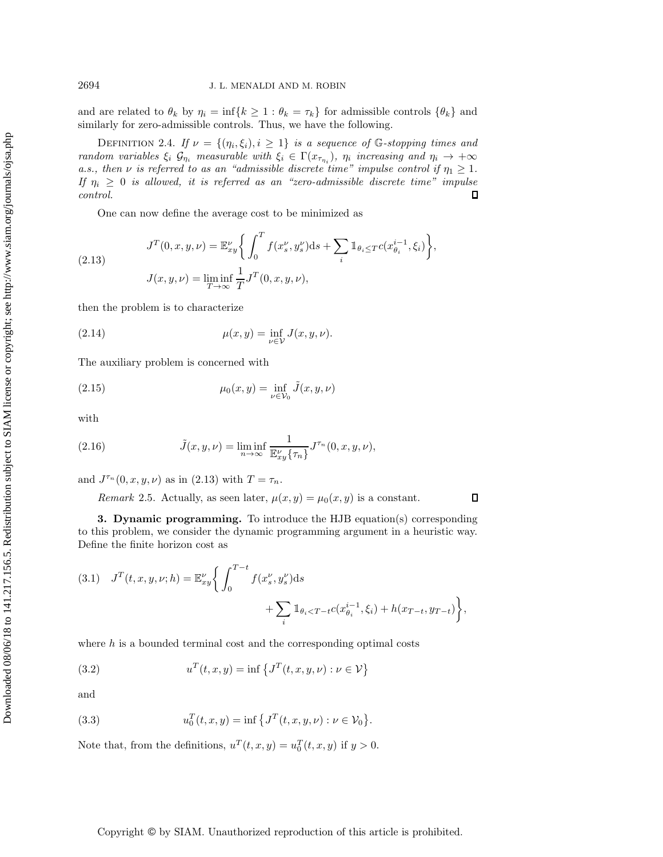and are related to  $\theta_k$  by  $\eta_i = \inf\{k \geq 1 : \theta_k = \tau_k\}$  for admissible controls  $\{\theta_k\}$  and similarly for zero-admissible controls. Thus, we have the following.

DEFINITION 2.4. *If*  $\nu = \{(\eta_i, \xi_i), i \geq 1\}$  *is a sequence of* G-stopping times and *random variables*  $\xi_i$   $\mathcal{G}_{\eta_i}$  *measurable with*  $\xi_i \in \Gamma(x_{\tau_{\eta_i}})$ ,  $\eta_i$  *increasing and*  $\eta_i \to +\infty$ *a.s., then*  $\nu$  *is referred to as an "admissible discrete time" impulse control if*  $\eta_1 \geq 1$ *. If*  $\eta_i \geq 0$  *is allowed, it is referred as an "zero-admissible discrete time" impulse control.*  $\Box$ 

<span id="page-5-1"></span>One can now define the average cost to be minimized as

(2.13) 
$$
J^{T}(0, x, y, \nu) = \mathbb{E}_{xy}^{\nu} \left\{ \int_{0}^{T} f(x_s^{\nu}, y_s^{\nu}) ds + \sum_{i} \mathbb{1}_{\theta_i \leq T} c(x_{\theta_i}^{i-1}, \xi_i) \right\},
$$

$$
J(x, y, \nu) = \liminf_{T \to \infty} \frac{1}{T} J^{T}(0, x, y, \nu),
$$

then the problem is to characterize

(2.14) 
$$
\mu(x, y) = \inf_{\nu \in \mathcal{V}} J(x, y, \nu).
$$

The auxiliary problem is concerned with

(2.15) 
$$
\mu_0(x, y) = \inf_{\nu \in \mathcal{V}_0} \tilde{J}(x, y, \nu)
$$

with

(2.16) 
$$
\tilde{J}(x, y, \nu) = \liminf_{n \to \infty} \frac{1}{\mathbb{E}_x^{\nu} \{ \tau_n \}} J^{\tau_n}(0, x, y, \nu),
$$

and  $J^{\tau_n}(0, x, y, \nu)$  as in  $(2.13)$  with  $T = \tau_n$ .

<span id="page-5-2"></span>*Remark* 2.5. Actually, as seen later,  $\mu(x, y) = \mu_0(x, y)$  is a constant.  $\Box$ 

<span id="page-5-0"></span>**3. Dynamic programming.** To introduce the HJB equation(s) corresponding to this problem, we consider the dynamic programming argument in a heuristic way. Define the finite horizon cost as

(3.1) 
$$
J^{T}(t, x, y, \nu; h) = \mathbb{E}_{xy}^{\nu} \left\{ \int_{0}^{T-t} f(x_s^{\nu}, y_s^{\nu}) ds + \sum_{i} \mathbb{1}_{\theta_i < T-t} c(x_{\theta_i}^{i-1}, \xi_i) + h(x_{T-t}, y_{T-t}) \right\},
$$

where  $h$  is a bounded terminal cost and the corresponding optimal costs

(3.2) 
$$
u^{T}(t,x,y) = \inf \{ J^{T}(t,x,y,\nu) : \nu \in \mathcal{V} \}
$$

and

(3.3) 
$$
u_0^T(t, x, y) = \inf \{ J^T(t, x, y, \nu) : \nu \in \mathcal{V}_0 \}.
$$

Note that, from the definitions,  $u^T(t, x, y) = u_0^T(t, x, y)$  if  $y > 0$ .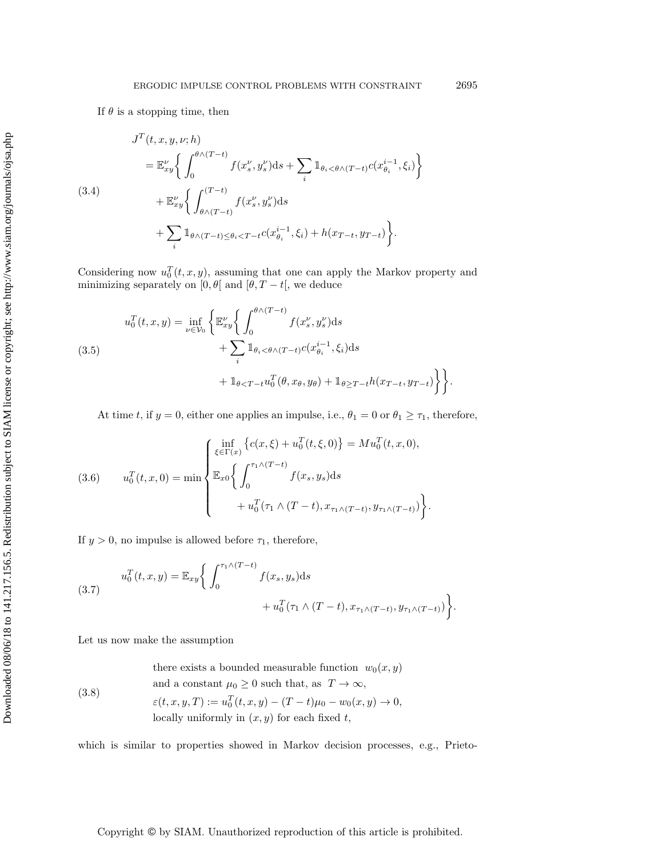<span id="page-6-3"></span>
$$
J^{T}(t, x, y, \nu; h)
$$
  
=  $\mathbb{E}_{xy}^{\nu} \Biggl\{ \int_{0}^{\theta \wedge (T-t)} f(x_s^{\nu}, y_s^{\nu}) ds + \sum_{i} \mathbb{1}_{\theta_i < \theta \wedge (T-t)} c(x_{\theta_i}^{i-1}, \xi_i) \Biggr\}$   

$$
+ \mathbb{E}_{xy}^{\nu} \Biggl\{ \int_{\theta \wedge (T-t)}^{(T-t)} f(x_s^{\nu}, y_s^{\nu}) ds + \sum_{i} \mathbb{1}_{\theta \wedge (T-t) \le \theta_i < T-t} c(x_{\theta_i}^{i-1}, \xi_i) + h(x_{T-t}, y_{T-t}) \Biggr\}.
$$

Considering now  $u_0^T(t, x, y)$ , assuming that one can apply the Markov property and minimizing separately on [0,  $\theta$ [ and [ $\theta$ , T – t[, we deduce

<span id="page-6-1"></span>(3.5)  

$$
u_0^T(t, x, y) = \inf_{\nu \in \mathcal{V}_0} \left\{ \mathbb{E}_{xy}^{\nu} \left\{ \int_0^{\theta \wedge (T-t)} f(x_s^{\nu}, y_s^{\nu}) ds + \sum_i \mathbb{1}_{\theta_i < \theta \wedge (T-t)} c(x_{\theta_i}^{i-1}, \xi_i) ds + \mathbb{1}_{\theta < T-t} u_0^T(\theta, x_{\theta}, y_{\theta}) + \mathbb{1}_{\theta \ge T-t} h(x_{T-t}, y_{T-t}) \right\} \right\}.
$$

At time t, if  $y = 0$ , either one applies an impulse, i.e.,  $\theta_1 = 0$  or  $\theta_1 \ge \tau_1$ , therefore,

<span id="page-6-2"></span>(3.6) 
$$
u_0^T(t, x, 0) = \min \begin{cases} \inf_{\xi \in \Gamma(x)} \left\{ c(x, \xi) + u_0^T(t, \xi, 0) \right\} = M u_0^T(t, x, 0), \\ \mathbb{E}_{x0} \left\{ \int_0^{\tau_1 \wedge (T-t)} f(x_s, y_s) \, ds \right. \\qquad \qquad + u_0^T(\tau_1 \wedge (T-t), x_{\tau_1 \wedge (T-t)}, y_{\tau_1 \wedge (T-t)}) \right\} . \end{cases}
$$

If  $y > 0$ , no impulse is allowed before  $\tau_1$ , therefore,

(3.7) 
$$
u_0^T(t, x, y) = \mathbb{E}_{xy} \bigg\{ \int_0^{\tau_1 \wedge (T-t)} f(x_s, y_s) ds + u_0^T(\tau_1 \wedge (T-t), x_{\tau_1 \wedge (T-t)}, y_{\tau_1 \wedge (T-t)}) \bigg\}.
$$

Let us now make the assumption

<span id="page-6-0"></span>(3.8)  
\nthere exists a bounded measurable function 
$$
w_0(x, y)
$$
  
\nand a constant  $\mu_0 \ge 0$  such that, as  $T \to \infty$ ,  
\n $\varepsilon(t, x, y, T) := u_0^T(t, x, y) - (T - t)\mu_0 - w_0(x, y) \to 0$ ,  
\nlocally uniformly in  $(x, y)$  for each fixed t,

which is similar to properties showed in Markov decision processes, e.g., Prieto-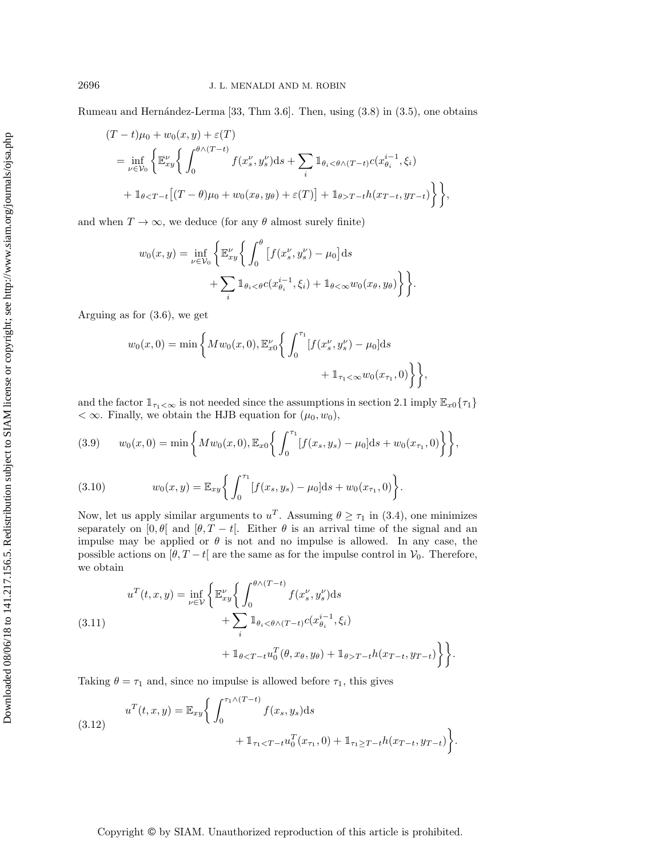Rumeau and Hernández-Lerma  $[33, Thm 3.6]$  $[33, Thm 3.6]$ . Then, using  $(3.8)$  in  $(3.5)$ , one obtains

$$
(T - t)\mu_0 + w_0(x, y) + \varepsilon(T)
$$
  
=  $\inf_{\nu \in \mathcal{V}_0} \left\{ \mathbb{E}_x^{\nu} \left\{ \int_0^{\theta \wedge (T - t)} f(x_s^{\nu}, y_s^{\nu}) ds + \sum_i \mathbb{1}_{\theta_i < \theta \wedge (T - t)} c(x_{\theta_i}^{i-1}, \xi_i) \right\} + \mathbb{1}_{\theta < T - t} [(T - \theta)\mu_0 + w_0(x_{\theta}, y_{\theta}) + \varepsilon(T)] + \mathbb{1}_{\theta > T - t} h(x_{T - t}, y_{T - t}) \right\} \right\},$ 

and when  $T \to \infty$ , we deduce (for any  $\theta$  almost surely finite)

$$
w_0(x,y) = \inf_{\nu \in \mathcal{V}_0} \left\{ \mathbb{E}_{xy}^{\nu} \left\{ \int_0^{\theta} \left[ f(x_s^{\nu}, y_s^{\nu}) - \mu_0 \right] ds + \sum_i \mathbb{I}_{\theta_i < \theta} c(x_{\theta_i}^{i-1}, \xi_i) + \mathbb{I}_{\theta < \infty} w_0(x_{\theta}, y_{\theta}) \right\} \right\}.
$$

Arguing as for [\(3.6\)](#page-6-2), we get

$$
w_0(x,0) = \min\left\{Mw_0(x,0), \mathbb{E}_{x0}^{\nu}\left\{\int_0^{\tau_1} [f(x_s^{\nu}, y_s^{\nu}) - \mu_0]ds + \mathbb{1}_{\tau_1 < \infty} w_0(x_{\tau_1}, 0)\right\}\right\},\,
$$

and the factor  $1_{\tau_1<\infty}$  is not needed since the assumptions in section [2.1](#page-2-2) imply  $\mathbb{E}_{x0}$  { $\tau_1$ }  $< \infty$ . Finally, we obtain the HJB equation for  $(\mu_0, w_0)$ ,

<span id="page-7-0"></span>(3.9) 
$$
w_0(x,0) = \min\left\{Mw_0(x,0), \mathbb{E}_{x0}\left\{\int_0^{\tau_1} [f(x_s,y_s) - \mu_0]ds + w_0(x_{\tau_1},0)\right\}\right\},\
$$

<span id="page-7-1"></span>(3.10) 
$$
w_0(x,y) = \mathbb{E}_{xy} \bigg\{ \int_0^{\tau_1} [f(x_s, y_s) - \mu_0] ds + w_0(x_{\tau_1}, 0) \bigg\}.
$$

Now, let us apply similar arguments to  $u^T$ . Assuming  $\theta \geq \tau_1$  in [\(3.4\)](#page-6-3), one minimizes separately on  $[0, \theta]$  and  $[\theta, T - t]$ . Either  $\theta$  is an arrival time of the signal and an impulse may be applied or  $\theta$  is not and no impulse is allowed. In any case, the possible actions on  $[\theta, T - t]$  are the same as for the impulse control in  $\mathcal{V}_0$ . Therefore, we obtain

(3.11) 
$$
u^{T}(t,x,y) = \inf_{\nu \in \mathcal{V}} \left\{ \mathbb{E}_{xy}^{\nu} \left\{ \int_{0}^{\theta \wedge (T-t)} f(x_s^{\nu}, y_s^{\nu}) ds + \sum_{i} \mathbb{1}_{\theta_i < \theta \wedge (T-t)} c(x_{\theta_i}^{i-1}, \xi_i) + \mathbb{1}_{\theta < T-t} u_0^{T}(\theta, x_{\theta}, y_{\theta}) + \mathbb{1}_{\theta > T-t} h(x_{T-t}, y_{T-t}) \right\} \right\}.
$$

Taking  $\theta = \tau_1$  and, since no impulse is allowed before  $\tau_1$ , this gives

(3.12) 
$$
u^{T}(t,x,y) = \mathbb{E}_{xy} \bigg\{ \int_0^{\tau_1 \wedge (T-t)} f(x_s, y_s) ds + \mathbb{1}_{\tau_1 < T-t} u_0^{T}(x_{\tau_1}, 0) + \mathbb{1}_{\tau_1 \ge T-t} h(x_{T-t}, y_{T-t}) \bigg\}.
$$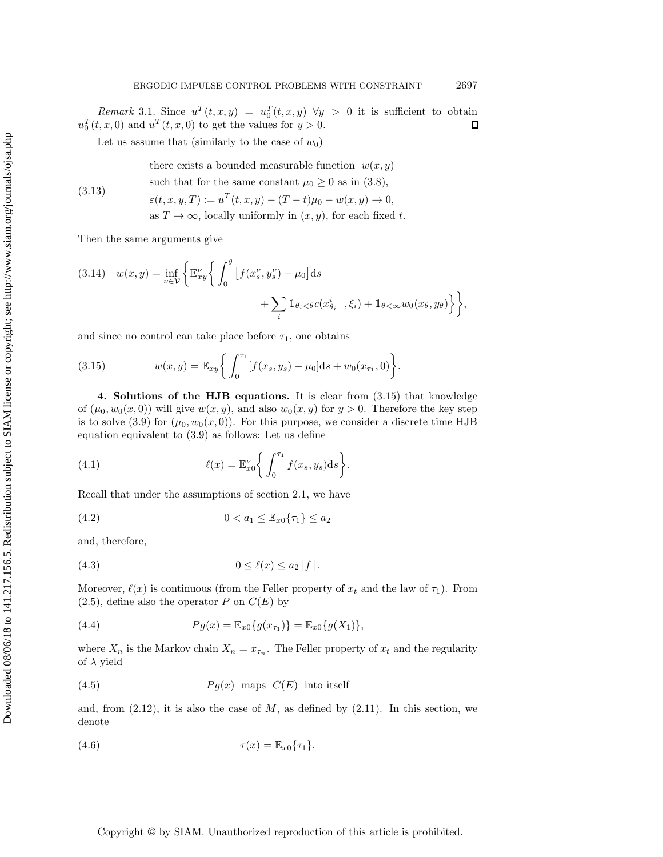*Remark* 3.1. Since  $u^T(t, x, y) = u_0^T(t, x, y) \quad \forall y > 0$  it is sufficient to obtain  $u_0^T(t, x, 0)$  and  $u^T(t, x, 0)$  to get the values for  $y > 0$ . Д

Let us assume that (similarly to the case of  $w_0$ )

there exists a bounded measurable function  $w(x, y)$ such that for the same constant  $\mu_0 \geq 0$  as in [\(3.8\)](#page-6-0),

(3.13) 
$$
\varepsilon(t, x, y, T) := u^T(t, x, y) - (T - t)\mu_0 - w(x, y) \to 0,
$$
  
as  $T \to \infty$ , locally uniformly in  $(x, y)$ , for each fixed t.

Then the same arguments give

(3.14) 
$$
w(x,y) = \inf_{\nu \in \mathcal{V}} \left\{ \mathbb{E}_{xy}^{\nu} \left\{ \int_0^{\theta} \left[ f(x_s^{\nu}, y_s^{\nu}) - \mu_0 \right] ds + \sum_i \mathbb{1}_{\theta_i < \theta} c(x_{\theta_i}^i, \xi_i) + \mathbb{1}_{\theta < \infty} w_0(x_{\theta}, y_{\theta}) \right\} \right\},
$$

and since no control can take place before  $\tau_1$ , one obtains

<span id="page-8-1"></span>(3.15) 
$$
w(x,y) = \mathbb{E}_{xy} \bigg\{ \int_0^{\tau_1} [f(x_s, y_s) - \mu_0] ds + w_0(x_{\tau_1}, 0) \bigg\}.
$$

<span id="page-8-0"></span>**4. Solutions of the HJB equations.** It is clear from [\(3.15\)](#page-8-1) that knowledge of  $(\mu_0, w_0(x, 0))$  will give  $w(x, y)$ , and also  $w_0(x, y)$  for  $y > 0$ . Therefore the key step is to solve [\(3.9\)](#page-7-0) for  $(\mu_0, w_0(x, 0))$ . For this purpose, we consider a discrete time HJB equation equivalent to [\(3.9\)](#page-7-0) as follows: Let us define

(4.1) 
$$
\ell(x) = \mathbb{E}_{x_0}^{\nu} \bigg\{ \int_0^{\tau_1} f(x_s, y_s) \mathrm{d}s \bigg\}.
$$

Recall that under the assumptions of section [2.1,](#page-2-2) we have

(4.2) 
$$
0 < a_1 \leq \mathbb{E}_{x0} \{ \tau_1 \} \leq a_2
$$

and, therefore,

$$
(4.3) \t\t\t 0 \le \ell(x) \le a_2 \|f\|.
$$

Moreover,  $\ell(x)$  is continuous (from the Feller property of  $x_t$  and the law of  $\tau_1$ ). From  $(2.5)$ , define also the operator P on  $C(E)$  by

(4.4) 
$$
Pg(x) = \mathbb{E}_{x0}\{g(x_{\tau_1})\} = \mathbb{E}_{x0}\{g(X_1)\},
$$

where  $X_n$  is the Markov chain  $X_n = x_{\tau_n}$ . The Feller property of  $x_t$  and the regularity of  $\lambda$  yield

$$
(4.5) \t\t Pg(x) \t maps C(E) \t into itself
$$

and, from  $(2.12)$ , it is also the case of M, as defined by  $(2.11)$ . In this section, we denote

$$
\tau(x) = \mathbb{E}_{x0}\{\tau_1\}.
$$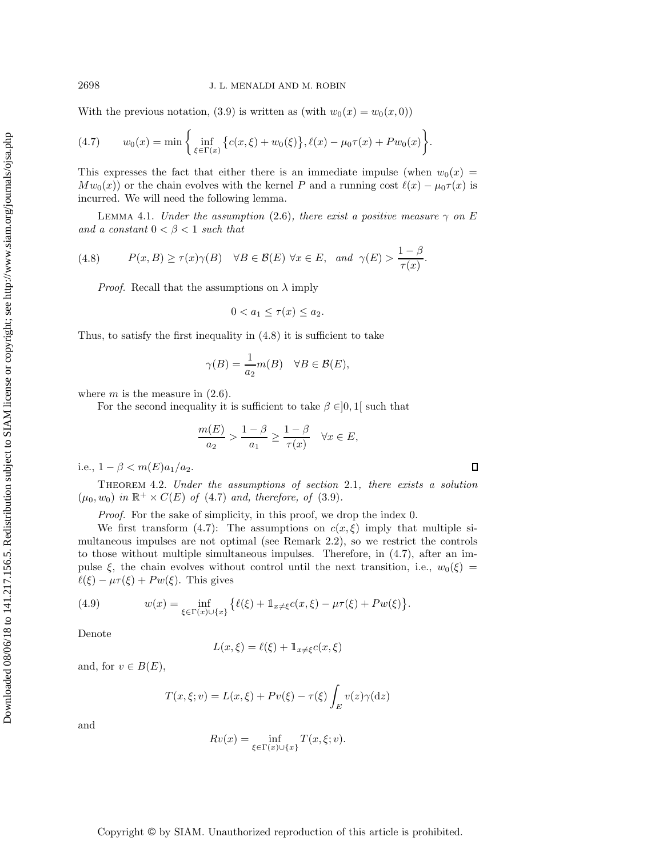With the previous notation, [\(3.9\)](#page-7-0) is written as (with  $w_0(x) = w_0(x, 0)$ )

<span id="page-9-1"></span>(4.7) 
$$
w_0(x) = \min \left\{ \inf_{\xi \in \Gamma(x)} \left\{ c(x,\xi) + w_0(\xi) \right\}, \ell(x) - \mu_0 \tau(x) + P w_0(x) \right\}.
$$

This expresses the fact that either there is an immediate impulse (when  $w_0(x) =$  $Mw_0(x)$  or the chain evolves with the kernel P and a running cost  $\ell(x) - \mu_0 \tau(x)$  is incurred. We will need the following lemma.

LEMMA 4.1. *Under the assumption* [\(2.6\)](#page-3-0), there exist a positive measure  $\gamma$  on E *and a constant*  $0 < \beta < 1$  *such that* 

(4.8) 
$$
P(x, B) \ge \tau(x)\gamma(B) \quad \forall B \in \mathcal{B}(E) \ \forall x \in E, \text{ and } \gamma(E) > \frac{1-\beta}{\tau(x)}.
$$

<span id="page-9-0"></span>*Proof.* Recall that the assumptions on  $\lambda$  imply

<span id="page-9-2"></span>
$$
0 < a_1 \le \tau(x) \le a_2.
$$

Thus, to satisfy the first inequality in [\(4.8\)](#page-9-0) it is sufficient to take

$$
\gamma(B) = \frac{1}{a_2} m(B) \quad \forall B \in \mathcal{B}(E),
$$

where  $m$  is the measure in  $(2.6)$ .

For the second inequality it is sufficient to take  $\beta \in ]0,1[$  such that

$$
\frac{m(E)}{a_2} > \frac{1-\beta}{a_1} \ge \frac{1-\beta}{\tau(x)} \quad \forall x \in E,
$$

<span id="page-9-4"></span>i.e.,  $1 - \beta < m(E)a_1/a_2$ .

Theorem 4.2. *Under the assumptions of section* [2.1](#page-2-2)*, there exists a solution*  $(\mu_0, w_0)$  *in*  $\mathbb{R}^+ \times C(E)$  *of* [\(4.7\)](#page-9-1) *and, therefore, of* [\(3.9\)](#page-7-0)*.* 

*Proof.* For the sake of simplicity, in this proof, we drop the index 0.

We first transform [\(4.7\)](#page-9-1): The assumptions on  $c(x, \xi)$  imply that multiple simultaneous impulses are not optimal (see Remark [2.2\)](#page-3-6), so we restrict the controls to those without multiple simultaneous impulses. Therefore, in [\(4.7\)](#page-9-1), after an impulse  $\xi$ , the chain evolves without control until the next transition, i.e.,  $w_0(\xi)$  =  $\ell(\xi) - \mu \tau(\xi) + P w(\xi)$ . This gives

<span id="page-9-3"></span>(4.9) 
$$
w(x) = \inf_{\xi \in \Gamma(x) \cup \{x\}} \{ \ell(\xi) + \mathbb{1}_{x \neq \xi} c(x, \xi) - \mu \tau(\xi) + P w(\xi) \}.
$$

Denote

$$
L(x,\xi) = \ell(\xi) + \mathbb{1}_{x \neq \xi} c(x,\xi)
$$

and, for  $v \in B(E)$ ,

$$
T(x,\xi;v) = L(x,\xi) + Pv(\xi) - \tau(\xi) \int_E v(z)\gamma(\mathrm{d}z)
$$

and

$$
Rv(x) = \inf_{\xi \in \Gamma(x) \cup \{x\}} T(x, \xi; v).
$$

 $\Box$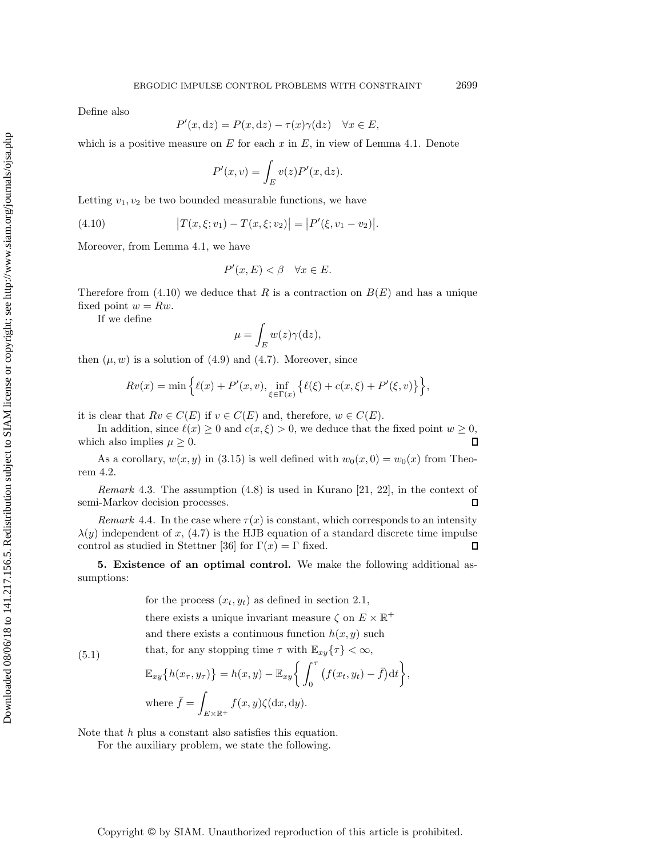Define also

$$
P'(x, dz) = P(x, dz) - \tau(x)\gamma(dz) \quad \forall x \in E,
$$

which is a positive measure on  $E$  for each  $x$  in  $E$ , in view of Lemma [4.1.](#page-9-2) Denote

<span id="page-10-1"></span>
$$
P'(x,v) = \int_E v(z)P'(x,\mathrm{d}z).
$$

Letting  $v_1, v_2$  be two bounded measurable functions, we have

(4.10) 
$$
|T(x,\xi;v_1) - T(x,\xi;v_2)| = |P'(\xi,v_1 - v_2)|.
$$

Moreover, from Lemma [4.1,](#page-9-2) we have

$$
P'(x,E) < \beta \quad \forall x \in E.
$$

Therefore from [\(4.10\)](#page-10-1) we deduce that R is a contraction on  $B(E)$  and has a unique fixed point  $w = Rw$ .

If we define

$$
\mu = \int_E w(z)\gamma(\mathrm{d}z),
$$

then  $(\mu, w)$  is a solution of [\(4.9\)](#page-9-3) and [\(4.7\)](#page-9-1). Moreover, since

$$
Rv(x) = \min \left\{ \ell(x) + P'(x, v), \inf_{\xi \in \Gamma(x)} \left\{ \ell(\xi) + c(x, \xi) + P'(\xi, v) \right\} \right\},\
$$

it is clear that  $Rv \in C(E)$  if  $v \in C(E)$  and, therefore,  $w \in C(E)$ .

In addition, since  $\ell(x) \geq 0$  and  $c(x, \xi) > 0$ , we deduce that the fixed point  $w \geq 0$ , which also implies  $\mu \geq 0$ .  $\Box$ 

As a corollary,  $w(x, y)$  in [\(3.15\)](#page-8-1) is well defined with  $w_0(x, 0) = w_0(x)$  from Theorem [4.2.](#page-9-4)

*Remark* 4.3. The assumption [\(4.8\)](#page-9-0) is used in Kurano [\[21,](#page-21-16) [22\]](#page-21-17), in the context of semi-Markov decision processes.  $\Box$ 

*Remark* 4.4. In the case where  $\tau(x)$  is constant, which corresponds to an intensity  $\lambda(y)$  independent of x, [\(4.7\)](#page-9-1) is the HJB equation of a standard discrete time impulse control as studied in Stettner [\[36\]](#page-22-5) for  $\Gamma(x) = \Gamma$  fixed.  $\Box$ 

<span id="page-10-0"></span>**5. Existence of an optimal control.** We make the following additional assumptions:

> for the process  $(x_t, y_t)$  as defined in section [2.1,](#page-2-2) there exists a unique invariant measure  $\zeta$  on  $E \times \mathbb{R}^+$ and there exists a continuous function  $h(x, y)$  such that, for any stopping time  $\tau$  with  $\mathbb{E}_{xy}\{\tau\}<\infty$ ,

(5.1)

<span id="page-10-3"></span><span id="page-10-2"></span>
$$
\mathbb{E}_{xy}\big\{h(x_{\tau}, y_{\tau})\big\} = h(x, y) - \mathbb{E}_{xy}\bigg\{\int_0^{\tau} \big(f(x_t, y_t) - \bar{f}\big) \mathrm{d}t\bigg\},
$$
\n
$$
\text{where } \bar{f} = \int_{E \times \mathbb{R}^+} f(x, y) \zeta(\mathrm{d}x, \mathrm{d}y).
$$

Note that h plus a constant also satisfies this equation.

For the auxiliary problem, we state the following.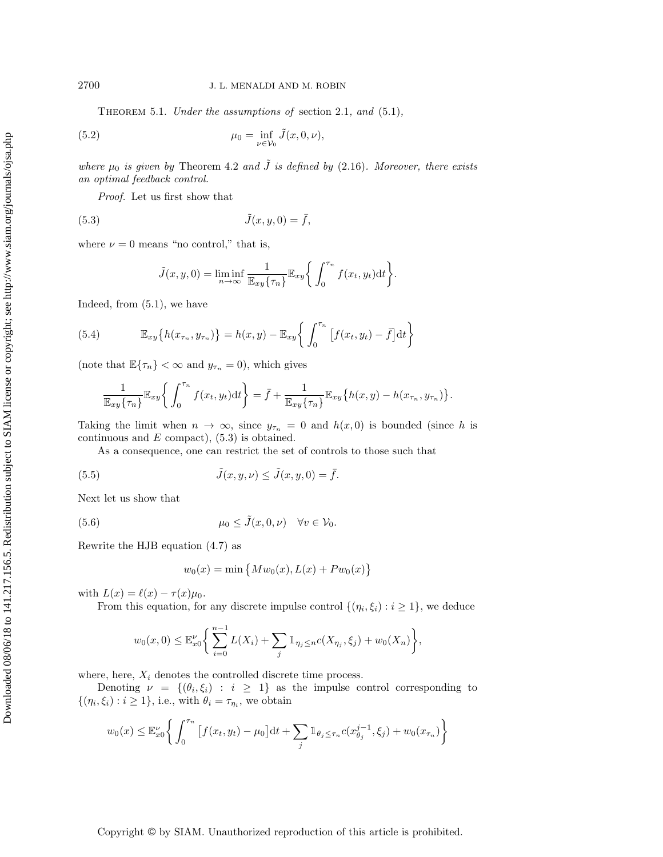Theorem 5.1. *Under the assumptions of* section [2.1](#page-2-2)*, and* [\(5.1\)](#page-10-2)*,*

(5.2) 
$$
\mu_0 = \inf_{\nu \in \mathcal{V}_0} \tilde{J}(x, 0, \nu),
$$

*where*  $\mu_0$  *is given by* Theorem [4.2](#page-9-4) *and*  $\tilde{J}$  *is defined by* [\(2.16\)](#page-5-2)*. Moreover, there exists an optimal feedback control.*

*Proof.* Let us first show that

$$
(5.3) \t\t \tilde{J}(x, y, 0) = \bar{f},
$$

where  $\nu = 0$  means "no control," that is,

<span id="page-11-0"></span>
$$
\tilde{J}(x, y, 0) = \liminf_{n \to \infty} \frac{1}{\mathbb{E}_{xy} \{\tau_n\}} \mathbb{E}_{xy} \left\{ \int_0^{\tau_n} f(x_t, y_t) dt \right\}.
$$

Indeed, from [\(5.1\)](#page-10-2), we have

(5.4) 
$$
\mathbb{E}_{xy}\left\{h(x_{\tau_n}, y_{\tau_n})\right\} = h(x, y) - \mathbb{E}_{xy}\left\{\int_0^{\tau_n} \left[f(x_t, y_t) - \bar{f}\right] dt\right\}
$$

(note that  $\mathbb{E}\{\tau_n\}<\infty$  and  $y_{\tau_n}=0$ ), which gives

<span id="page-11-3"></span>
$$
\frac{1}{\mathbb{E}_{xy}\{\tau_n\}}\mathbb{E}_{xy}\left\{\int_0^{\tau_n}f(x_t,y_t)\mathrm{d}t\right\} = \bar{f} + \frac{1}{\mathbb{E}_{xy}\{\tau_n\}}\mathbb{E}_{xy}\left\{h(x,y) - h(x_{\tau_n}, y_{\tau_n})\right\}.
$$

Taking the limit when  $n \to \infty$ , since  $y_{\tau_n} = 0$  and  $h(x, 0)$  is bounded (since h is continuous and  $E$  compact),  $(5.3)$  is obtained.

As a consequence, one can restrict the set of controls to those such that

(5.5) 
$$
\tilde{J}(x, y, \nu) \leq \tilde{J}(x, y, 0) = \bar{f}.
$$

Next let us show that

(5.6) 
$$
\mu_0 \leq \tilde{J}(x, 0, \nu) \quad \forall v \in \mathcal{V}_0.
$$

Rewrite the HJB equation [\(4.7\)](#page-9-1) as

<span id="page-11-2"></span><span id="page-11-1"></span>
$$
w_0(x) = \min \{ M w_0(x), L(x) + P w_0(x) \}
$$

with  $L(x) = \ell(x) - \tau(x)\mu_0$ .

From this equation, for any discrete impulse control  $\{(\eta_i, \xi_i) : i \geq 1\}$ , we deduce

$$
w_0(x, 0) \le \mathbb{E}_{x_0}^{\nu} \bigg\{ \sum_{i=0}^{n-1} L(X_i) + \sum_j \mathbb{1}_{\eta_j \le n} c(X_{\eta_j}, \xi_j) + w_0(X_n) \bigg\},
$$

where, here,  $X_i$  denotes the controlled discrete time process.

Denoting  $\nu = \{(\theta_i, \xi_i) : i \geq 1\}$  as the impulse control corresponding to  $\{(\eta_i, \xi_i) : i \geq 1\}, \text{ i.e., with } \theta_i = \tau_{\eta_i}, \text{ we obtain}$ 

$$
w_0(x) \le \mathbb{E}_x^{\nu} \left\{ \int_0^{\tau_n} \left[ f(x_t, y_t) - \mu_0 \right] dt + \sum_j \mathbb{1}_{\theta_j \le \tau_n} c(x_{\theta_j}^{j-1}, \xi_j) + w_0(x_{\tau_n}) \right\}
$$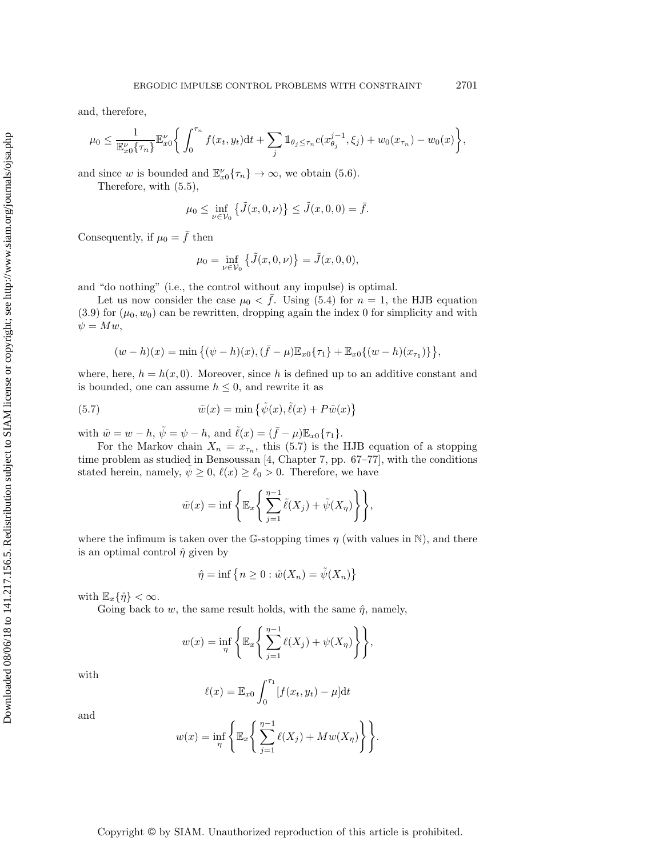and, therefore,

$$
\mu_0 \leq \frac{1}{\mathbb{E}_{x0}^{\nu}{\{\tau_n\}}}\mathbb{E}_{x0}^{\nu}\bigg\{\int_0^{\tau_n}f(x_t,y_t)\mathrm{d}t + \sum_j \mathbb{1}_{\theta_j \leq \tau_n}c(x_{\theta_j}^{j-1},\xi_j) + w_0(x_{\tau_n}) - w_0(x)\bigg\},\,
$$

and since w is bounded and  $\mathbb{E}_{x_0}^{\nu} \{\tau_n\} \to \infty$ , we obtain [\(5.6\)](#page-11-1).

Therefore, with [\(5.5\)](#page-11-2),

$$
\mu_0 \le \inf_{\nu \in \mathcal{V}_0} \{ \tilde{J}(x, 0, \nu) \} \le \tilde{J}(x, 0, 0) = \bar{f}.
$$

Consequently, if  $\mu_0 = \bar{f}$  then

$$
\mu_0 = \inf_{\nu \in \mathcal{V}_0} \{ \tilde{J}(x, 0, \nu) \} = \tilde{J}(x, 0, 0),
$$

and "do nothing" (i.e., the control without any impulse) is optimal.

Let us now consider the case  $\mu_0 < f$ . Using [\(5.4\)](#page-11-3) for  $n = 1$ , the HJB equation  $(3.9)$  for  $(\mu_0, w_0)$  can be rewritten, dropping again the index 0 for simplicity and with  $\psi = Mw,$ 

$$
(w-h)(x) = \min \{ (\psi-h)(x), (\bar{f}-\mu)\mathbb{E}_{x0}\{\tau_1\} + \mathbb{E}_{x0}\{(w-h)(x_{\tau_1})\} \},
$$

where, here,  $h = h(x, 0)$ . Moreover, since h is defined up to an additive constant and is bounded, one can assume  $h \leq 0$ , and rewrite it as

(5.7) 
$$
\tilde{w}(x) = \min \{ \tilde{\psi}(x), \tilde{\ell}(x) + P\tilde{w}(x) \}
$$

with  $\tilde{w} = w - h$ ,  $\tilde{\psi} = \psi - h$ , and  $\tilde{\ell}(x) = (\bar{f} - \mu)\mathbb{E}_{x0}\{\tau_1\}.$ 

For the Markov chain  $X_n = x_{\tau_n}$ , this [\(5.7\)](#page-12-0) is the HJB equation of a stopping time problem as studied in Bensoussan [\[4,](#page-21-13) Chapter 7, pp. 67–77], with the conditions stated herein, namely,  $\tilde{\psi} \geq 0$ ,  $\ell(x) \geq \ell_0 > 0$ . Therefore, we have

<span id="page-12-0"></span>
$$
\tilde{w}(x) = \inf \left\{ \mathbb{E}_x \left\{ \sum_{j=1}^{n-1} \tilde{\ell}(X_j) + \tilde{\psi}(X_n) \right\} \right\},\
$$

where the infimum is taken over the G-stopping times  $\eta$  (with values in N), and there is an optimal control  $\hat{\eta}$  given by

$$
\hat{\eta} = \inf \left\{ n \ge 0 : \tilde{w}(X_n) = \tilde{\psi}(X_n) \right\}
$$

with  $\mathbb{E}_x\{\hat{\eta}\}<\infty$ .

Going back to w, the same result holds, with the same  $\hat{\eta}$ , namely,

$$
w(x) = \inf_{\eta} \left\{ \mathbb{E}_x \left\{ \sum_{j=1}^{\eta-1} \ell(X_j) + \psi(X_{\eta}) \right\} \right\},\
$$

with

$$
\ell(x) = \mathbb{E}_{x0} \int_0^{\tau_1} [f(x_t, y_t) - \mu] dt
$$

and

$$
w(x) = \inf_{\eta} \left\{ \mathbb{E}_x \left\{ \sum_{j=1}^{\eta-1} \ell(X_j) + M w(X_{\eta}) \right\} \right\}.
$$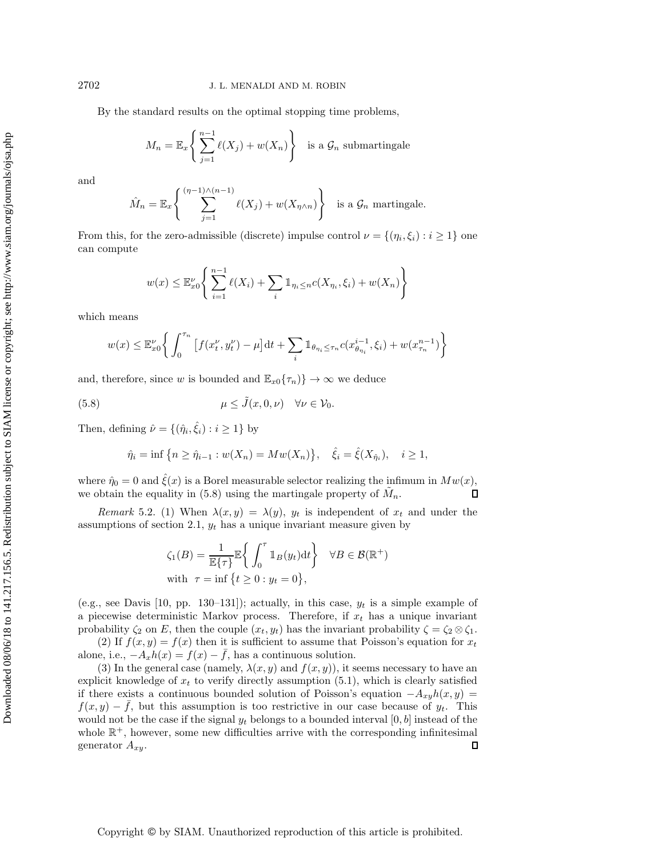By the standard results on the optimal stopping time problems,

$$
M_n = \mathbb{E}_x \left\{ \sum_{j=1}^{n-1} \ell(X_j) + w(X_n) \right\} \text{ is a } \mathcal{G}_n \text{ submartingale}
$$

and

$$
\hat{M}_n = \mathbb{E}_x \left\{ \sum_{j=1}^{(\eta-1)\wedge(n-1)} \ell(X_j) + w(X_{\eta \wedge n}) \right\} \text{ is a } \mathcal{G}_n \text{ martingale.}
$$

From this, for the zero-admissible (discrete) impulse control  $\nu = \{(\eta_i, \xi_i) : i \geq 1\}$  one can compute

$$
w(x) \le \mathbb{E}_{x_0}^{\nu} \left\{ \sum_{i=1}^{n-1} \ell(X_i) + \sum_i \mathbb{1}_{\eta_i \le n} c(X_{\eta_i}, \xi_i) + w(X_n) \right\}
$$

which means

$$
w(x) \le \mathbb{E}_{x0}^{\nu} \left\{ \int_0^{\tau_n} \left[ f(x_t^{\nu}, y_t^{\nu}) - \mu \right] dt + \sum_i \mathbb{1}_{\theta_{\eta_i} \le \tau_n} c(x_{\theta_{\eta_i}}^{i-1}, \xi_i) + w(x_{\tau_n}^{n-1}) \right\}
$$

and, therefore, since w is bounded and  $\mathbb{E}_{x0}\{\tau_n\}\to\infty$  we deduce

(5.8) 
$$
\mu \leq \tilde{J}(x, 0, \nu) \quad \forall \nu \in \mathcal{V}_0.
$$

Then, defining  $\hat{\nu} = \{(\hat{\eta}_i, \hat{\xi}_i) : i \geq 1\}$  by

<span id="page-13-0"></span>
$$
\hat{\eta}_i = \inf \{ n \ge \hat{\eta}_{i-1} : w(X_n) = Mw(X_n) \}, \quad \hat{\xi}_i = \hat{\xi}(X_{\hat{\eta}_i}), \quad i \ge 1,
$$

where  $\hat{\eta}_0 = 0$  and  $\xi(x)$  is a Borel measurable selector realizing the infimum in  $M w(x)$ , we obtain the equality in [\(5.8\)](#page-13-0) using the martingale property of  $M_n$ . П

*Remark* 5.2. (1) When  $\lambda(x, y) = \lambda(y)$ ,  $y_t$  is independent of  $x_t$  and under the assumptions of section [2.1,](#page-2-2)  $y_t$  has a unique invariant measure given by

$$
\zeta_1(B) = \frac{1}{\mathbb{E}\{\tau\}} \mathbb{E}\left\{\int_0^{\tau} \mathbb{1}_B(y_t) dt\right\} \quad \forall B \in \mathcal{B}(\mathbb{R}^+)
$$
  
with  $\tau = \inf\left\{t \ge 0 : y_t = 0\right\},\$ 

(e.g., see Davis [\[10,](#page-21-2) pp. 130–131]); actually, in this case,  $y_t$  is a simple example of a piecewise deterministic Markov process. Therefore, if  $x_t$  has a unique invariant probability  $\zeta_2$  on E, then the couple  $(x_t, y_t)$  has the invariant probability  $\zeta = \zeta_2 \otimes \zeta_1$ .

(2) If  $f(x, y) = f(x)$  then it is sufficient to assume that Poisson's equation for  $x_t$ alone, i.e.,  $-A_xh(x) = f(x) - \bar{f}$ , has a continuous solution.

<span id="page-13-1"></span>(3) In the general case (namely,  $\lambda(x, y)$  and  $f(x, y)$ ), it seems necessary to have an explicit knowledge of  $x_t$  to verify directly assumption  $(5.1)$ , which is clearly satisfied if there exists a continuous bounded solution of Poisson's equation  $-A_{xy}h(x, y) =$  $f(x, y) - f$ , but this assumption is too restrictive in our case because of  $y_t$ . This would not be the case if the signal  $y_t$  belongs to a bounded interval [0, b] instead of the whole  $\mathbb{R}^+$ , however, some new difficulties arrive with the corresponding infinitesimal generator  $A_{xy}$ .  $\Box$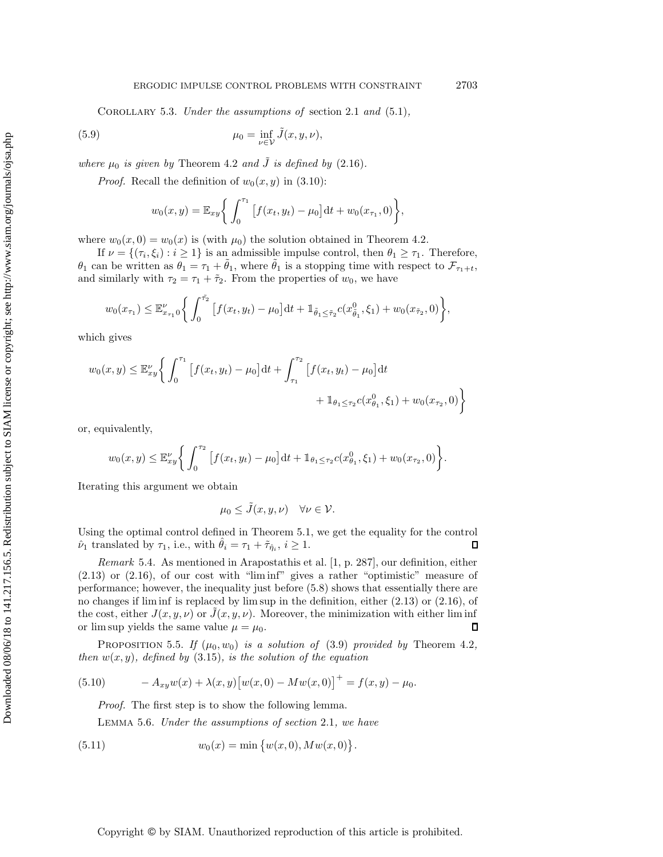Corollary 5.3. *Under the assumptions of* section [2.1](#page-2-2) *and* [\(5.1\)](#page-10-2)*,*

(5.9) 
$$
\mu_0 = \inf_{\nu \in \mathcal{V}} \tilde{J}(x, y, \nu),
$$

*where*  $\mu_0$  *is given by* Theorem [4.2](#page-9-4) *and*  $\tilde{J}$  *is defined by* [\(2.16\)](#page-5-2)*.* 

*Proof.* Recall the definition of  $w_0(x, y)$  in [\(3.10\)](#page-7-1):

$$
w_0(x,y) = \mathbb{E}_{xy} \bigg\{ \int_0^{\tau_1} \big[ f(x_t, y_t) - \mu_0 \big] \mathrm{d}t + w_0(x_{\tau_1}, 0) \bigg\},
$$

where  $w_0(x, 0) = w_0(x)$  is (with  $\mu_0$ ) the solution obtained in Theorem [4.2.](#page-9-4)

If  $\nu = \{(\tau_i, \xi_i) : i \geq 1\}$  is an admissible impulse control, then  $\theta_1 \geq \tau_1$ . Therefore,  $\theta_1$  can be written as  $\theta_1 = \tau_1 + \tilde{\theta}_1$ , where  $\tilde{\theta}_1$  is a stopping time with respect to  $\mathcal{F}_{\tau_1+t}$ , and similarly with  $\tau_2 = \tau_1 + \tilde{\tau}_2$ . From the properties of  $w_0$ , we have

$$
w_0(x_{\tau_1}) \leq \mathbb{E}_{x_{\tau_1}0}^{\nu} \bigg\{ \int_0^{\tilde{\tau}_2} \big[ f(x_t, y_t) - \mu_0 \big] \mathrm{d}t + \mathbb{1}_{\tilde{\theta}_1 \leq \tilde{\tau}_2} c(x_{\tilde{\theta}_1}^0, \xi_1) + w_0(x_{\tilde{\tau}_2}, 0) \bigg\},
$$

which gives

$$
w_0(x,y) \leq \mathbb{E}_{xy}^{\nu} \left\{ \int_0^{\tau_1} \left[ f(x_t, y_t) - \mu_0 \right] dt + \int_{\tau_1}^{\tau_2} \left[ f(x_t, y_t) - \mu_0 \right] dt + \mathbb{1}_{\theta_1 \leq \tau_2} c(x_{\theta_1}^0, \xi_1) + w_0(x_{\tau_2}, 0) \right\}
$$

or, equivalently,

$$
w_0(x,y) \leq \mathbb{E}_{xy}^{\nu} \bigg\{ \int_0^{\tau_2} \big[ f(x_t, y_t) - \mu_0 \big] \mathrm{d}t + \mathbb{1}_{\theta_1 \leq \tau_2} c(x_{\theta_1}^0, \xi_1) + w_0(x_{\tau_2}, 0) \bigg\}.
$$

Iterating this argument we obtain

<span id="page-14-1"></span>
$$
\mu_0 \le \tilde{J}(x, y, \nu) \quad \forall \nu \in \mathcal{V}.
$$

Using the optimal control defined in Theorem [5.1,](#page-10-3) we get the equality for the control  $\hat{\nu}_1$  translated by  $\tau_1$ , i.e., with  $\hat{\theta}_i = \tau_1 + \tilde{\tau}_{\hat{\eta}_i}, i \geq 1$ .  $\Box$ 

*Remark* 5.4. As mentioned in Arapostathis et al. [\[1,](#page-21-18) p. 287], our definition, either  $(2.13)$  or  $(2.16)$ , of our cost with "liminf" gives a rather "optimistic" measure of performance; however, the inequality just before [\(5.8\)](#page-13-0) shows that essentially there are no changes if lim inf is replaced by lim sup in the definition, either [\(2.13\)](#page-5-1) or [\(2.16\)](#page-5-2), of the cost, either  $J(x, y, \nu)$  or  $\tilde{J}(x, y, \nu)$ . Moreover, the minimization with either lim inf or lim sup yields the same value  $\mu = \mu_0$ . Л

PROPOSITION 5.5. If  $(\mu_0, w_0)$  *is a solution of* [\(3.9\)](#page-7-0) *provided by* Theorem [4.2](#page-9-4), *then*  $w(x, y)$ *, defined by* [\(3.15\)](#page-8-1)*, is the solution of the equation* 

(5.10) 
$$
-A_{xy}w(x) + \lambda(x, y)[w(x, 0) - Mw(x, 0)]^{+} = f(x, y) - \mu_0.
$$

<span id="page-14-2"></span>*Proof.* The first step is to show the following lemma.

<span id="page-14-0"></span>Lemma 5.6. *Under the assumptions of section* [2.1](#page-2-2)*, we have*

(5.11) 
$$
w_0(x) = \min \{w(x, 0), Mw(x, 0)\}.
$$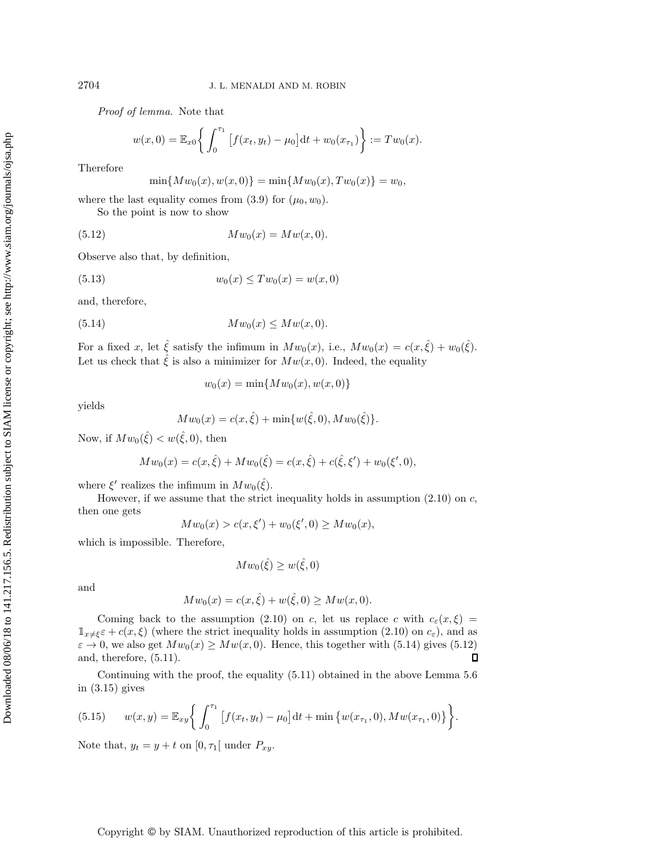*Proof of lemma.* Note that

$$
w(x, 0) = \mathbb{E}_{x0}\left\{\int_0^{\tau_1} \left[f(x_t, y_t) - \mu_0\right] dt + w_0(x_{\tau_1})\right\} := Tw_0(x).
$$

Therefore

<span id="page-15-1"></span>
$$
\min\{Mw_0(x), w(x, 0)\} = \min\{Mw_0(x), Tw_0(x)\} = w_0,
$$

where the last equality comes from  $(3.9)$  for  $(\mu_0, w_0)$ .

So the point is now to show

(5.12) 
$$
Mw_0(x) = Mw(x, 0).
$$

Observe also that, by definition,

(5.13) 
$$
w_0(x) \le Tw_0(x) = w(x, 0)
$$

and, therefore,

$$
(5.14) \t\t Mw0(x) \leq Mw(x, 0).
$$

For a fixed x, let  $\hat{\xi}$  satisfy the infimum in  $Mw_0(x)$ , i.e.,  $Mw_0(x) = c(x, \hat{\xi}) + w_0(\hat{\xi})$ . Let us check that  $\hat{\xi}$  is also a minimizer for  $Mw(x, 0)$ . Indeed, the equality

<span id="page-15-0"></span>
$$
w_0(x) = \min\{Mw_0(x), w(x, 0)\}\
$$

yields

$$
Mw_0(x) = c(x, \hat{\xi}) + \min\{w(\hat{\xi}, 0), Mw_0(\hat{\xi})\}.
$$

Now, if  $Mw_0(\hat{\xi}) < w(\hat{\xi}, 0)$ , then

$$
Mw_0(x) = c(x, \hat{\xi}) + Mw_0(\hat{\xi}) = c(x, \hat{\xi}) + c(\hat{\xi}, \xi') + w_0(\xi', 0),
$$

where  $\xi'$  realizes the infimum in  $Mw_0(\hat{\xi})$ .

However, if we assume that the strict inequality holds in assumption  $(2.10)$  on c, then one gets

$$
Mw_0(x) > c(x, \xi') + w_0(\xi', 0) \ge Mw_0(x),
$$

which is impossible. Therefore,

$$
Mw_0(\hat{\xi}) \ge w(\hat{\xi}, 0)
$$

and

$$
Mw_0(x) = c(x, \hat{\xi}) + w(\hat{\xi}, 0) \ge Mw(x, 0).
$$

Coming back to the assumption [\(2.10\)](#page-3-2) on c, let us replace c with  $c_{\varepsilon}(x,\xi)$  =  $\mathbb{1}_{x\neq\xi}\varepsilon+c(x,\xi)$  (where the strict inequality holds in assumption [\(2.10\)](#page-3-2) on  $c_{\varepsilon}$ ), and as  $\varepsilon \to 0$ , we also get  $Mw_0(x) \geq Mw(x, 0)$ . Hence, this together with [\(5.14\)](#page-15-0) gives [\(5.12\)](#page-15-1) П and, therefore, [\(5.11\)](#page-14-0).

Continuing with the proof, the equality [\(5.11\)](#page-14-0) obtained in the above Lemma [5.6](#page-14-1) in [\(3.15\)](#page-8-1) gives

(5.15) 
$$
w(x,y) = \mathbb{E}_{xy} \bigg\{ \int_0^{\tau_1} \big[ f(x_t, y_t) - \mu_0 \big] dt + \min \big\{ w(x_{\tau_1}, 0), M w(x_{\tau_1}, 0) \big\} \bigg\}.
$$

Note that,  $y_t = y + t$  on  $[0, \tau_1]$  under  $P_{xy}$ .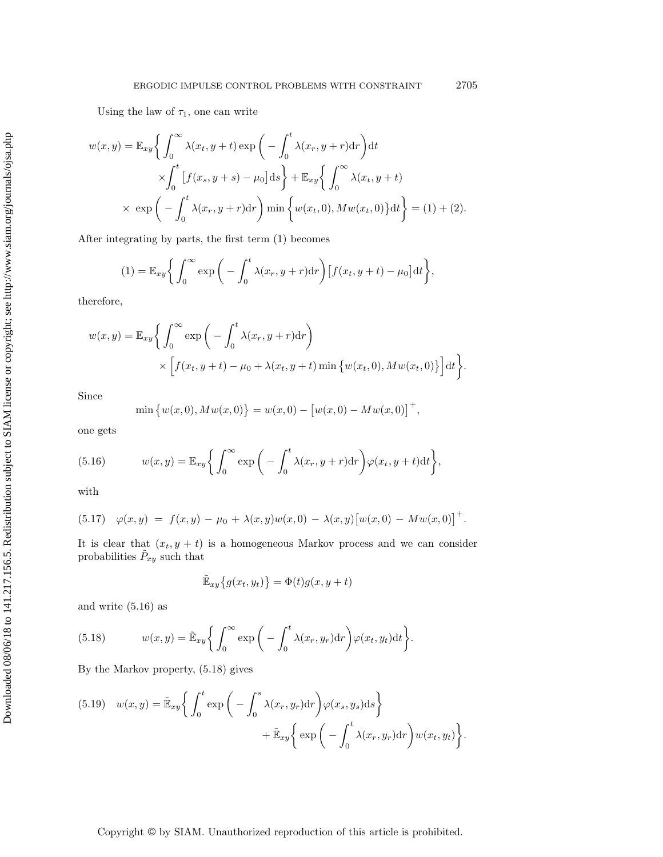Using the law of  $\tau_1$ , one can write

$$
w(x,y) = \mathbb{E}_{xy} \left\{ \int_0^\infty \lambda(x_t, y+t) \exp\left(-\int_0^t \lambda(x_r, y+r) dr\right) dt \times \int_0^t \left[f(x_s, y+s) - \mu_0\right] ds\right\} + \mathbb{E}_{xy} \left\{ \int_0^\infty \lambda(x_t, y+t) \times \exp\left(-\int_0^t \lambda(x_r, y+r) dr\right) \min\left\{w(x_t, 0), M w(x_t, 0)\right\} dt\right\} = (1) + (2).
$$

After integrating by parts, the first term (1) becomes

$$
(1) = \mathbb{E}_{xy} \bigg\{ \int_0^\infty \exp \bigg( - \int_0^t \lambda(x_r, y + r) dr \bigg) \big[ f(x_t, y + t) - \mu_0 \big] dt \bigg\},
$$

therefore,

$$
w(x,y) = \mathbb{E}_{xy} \bigg\{ \int_0^\infty \exp \bigg( - \int_0^t \lambda(x_r, y+r) dr \bigg) \times \Big[ f(x_t, y+t) - \mu_0 + \lambda(x_t, y+t) \min \big\{ w(x_t, 0), M w(x_t, 0) \big\} \Big] dt \bigg\}.
$$

Since

<span id="page-16-0"></span>
$$
\min \{ w(x,0), M w(x,0) \} = w(x,0) - [w(x,0) - M w(x,0)]^{+},
$$

one gets

(5.16) 
$$
w(x,y) = \mathbb{E}_{xy} \bigg\{ \int_0^\infty \exp \bigg( - \int_0^t \lambda(x_r, y + r) dr \bigg) \varphi(x_t, y + t) dt \bigg\},
$$

with

<span id="page-16-3"></span>
$$
(5.17) \quad \varphi(x,y) = f(x,y) - \mu_0 + \lambda(x,y)w(x,0) - \lambda(x,y)[w(x,0) - Mw(x,0)]^+.
$$

It is clear that  $(x_t, y + t)$  is a homogeneous Markov process and we can consider probabilities  $\tilde{P}_{xy}$  such that

$$
\tilde{\mathbb{E}}_{xy}\big\{g(x_t, y_t)\big\} = \Phi(t)g(x, y + t)
$$

and write [\(5.16\)](#page-16-0) as

<span id="page-16-1"></span>(5.18) 
$$
w(x,y) = \tilde{\mathbb{E}}_{xy} \bigg\{ \int_0^\infty \exp\bigg(-\int_0^t \lambda(x_r, y_r) dr\bigg) \varphi(x_t, y_t) dt \bigg\}.
$$

By the Markov property, [\(5.18\)](#page-16-1) gives

<span id="page-16-2"></span>(5.19) 
$$
w(x,y) = \tilde{\mathbb{E}}_{xy} \bigg\{ \int_0^t \exp \bigg( - \int_0^s \lambda(x_r, y_r) dr \bigg) \varphi(x_s, y_s) ds \bigg\} + \tilde{\mathbb{E}}_{xy} \bigg\{ \exp \bigg( - \int_0^t \lambda(x_r, y_r) dr \bigg) w(x_t, y_t) \bigg\}.
$$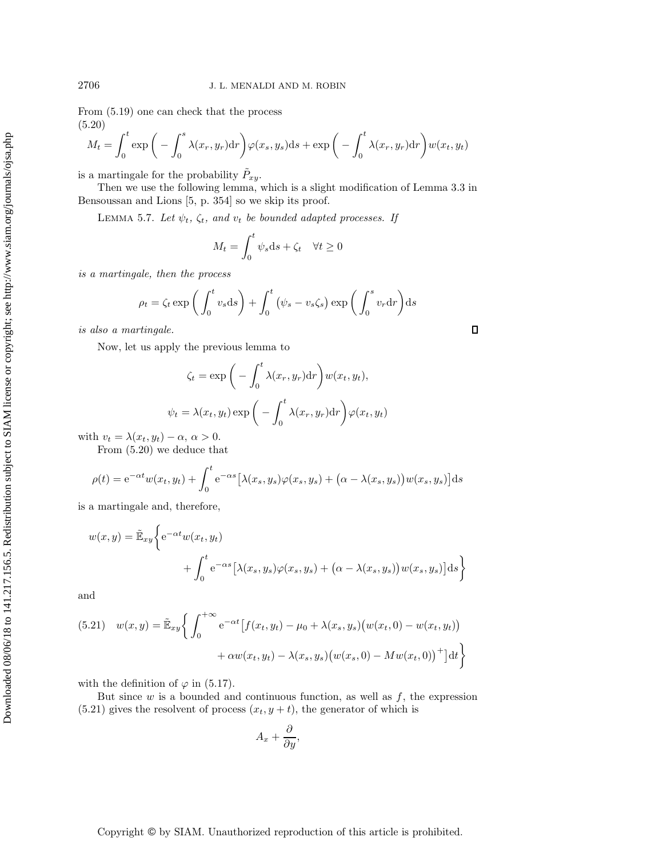From [\(5.19\)](#page-16-2) one can check that the process (5.20)

<span id="page-17-0"></span>
$$
M_t = \int_0^t \exp\bigg(-\int_0^s \lambda(x_r, y_r) dr\bigg) \varphi(x_s, y_s) ds + \exp\bigg(-\int_0^t \lambda(x_r, y_r) dr\bigg) w(x_t, y_t)
$$

is a martingale for the probability  $\tilde{P}_{xy}$ .

Then we use the following lemma, which is a slight modification of Lemma 3.3 in Bensoussan and Lions [\[5,](#page-21-19) p. 354] so we skip its proof.

LEMMA 5.7. Let  $\psi_t$ ,  $\zeta_t$ , and  $v_t$  be bounded adapted processes. If

$$
M_t = \int_0^t \psi_s \mathrm{d}s + \zeta_t \quad \forall t \ge 0
$$

*is a martingale, then the process*

$$
\rho_t = \zeta_t \exp\left(\int_0^t v_s \, ds\right) + \int_0^t \left(\psi_s - v_s \zeta_s\right) \exp\left(\int_0^s v_r \, dr\right) ds
$$

 $\Box$ 

*is also a martingale.*

Now, let us apply the previous lemma to

$$
\zeta_t = \exp\bigg(-\int_0^t \lambda(x_r, y_r) dr\bigg) w(x_t, y_t),
$$

$$
\psi_t = \lambda(x_t, y_t) \exp\bigg(-\int_0^t \lambda(x_r, y_r) dr\bigg) \varphi(x_t, y_t)
$$

with  $v_t = \lambda(x_t, y_t) - \alpha, \, \alpha > 0.$ 

From [\(5.20\)](#page-17-0) we deduce that

$$
\rho(t) = e^{-\alpha t} w(x_t, y_t) + \int_0^t e^{-\alpha s} \left[ \lambda(x_s, y_s) \varphi(x_s, y_s) + (\alpha - \lambda(x_s, y_s)) w(x_s, y_s) \right] ds
$$

is a martingale and, therefore,

$$
w(x,y) = \tilde{\mathbb{E}}_{xy} \bigg\{ e^{-\alpha t} w(x_t, y_t) + \int_0^t e^{-\alpha s} \big[ \lambda(x_s, y_s) \varphi(x_s, y_s) + (\alpha - \lambda(x_s, y_s)) w(x_s, y_s) \big] ds \bigg\}
$$

and

<span id="page-17-1"></span>(5.21) 
$$
w(x,y) = \tilde{\mathbb{E}}_{xy} \left\{ \int_0^{+\infty} e^{-\alpha t} \left[ f(x_t, y_t) - \mu_0 + \lambda(x_s, y_s) (w(x_t, 0) - w(x_t, y_t)) + \alpha w(x_t, y_t) - \lambda(x_s, y_s) (w(x_s, 0) - M w(x_t, 0)) \right]^+ \right\}
$$

with the definition of  $\varphi$  in [\(5.17\)](#page-16-3).

But since  $w$  is a bounded and continuous function, as well as  $f$ , the expression  $(5.21)$  gives the resolvent of process  $(x_t, y + t)$ , the generator of which is

$$
A_x + \frac{\partial}{\partial y},
$$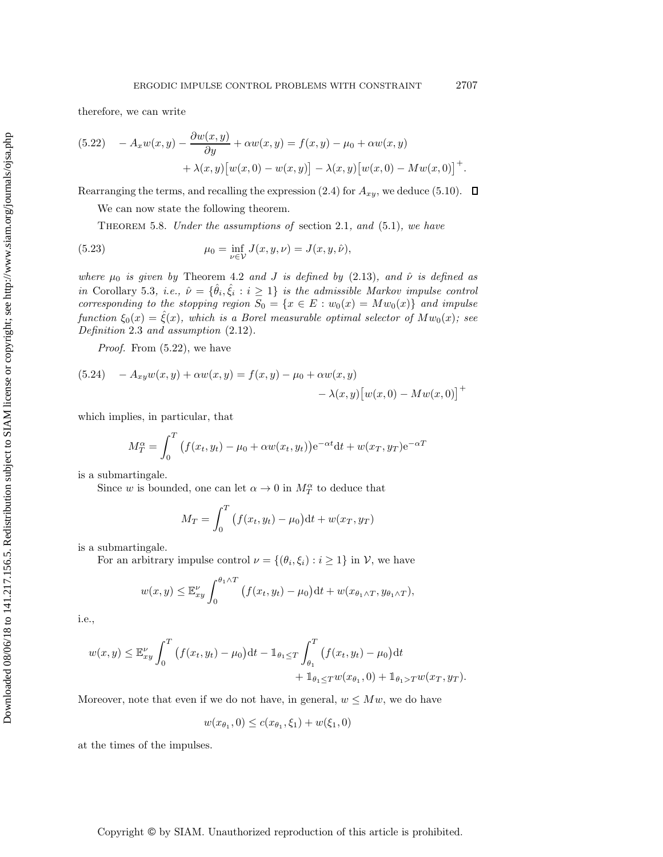therefore, we can write

<span id="page-18-0"></span>(5.22) 
$$
-A_x w(x,y) - \frac{\partial w(x,y)}{\partial y} + \alpha w(x,y) = f(x,y) - \mu_0 + \alpha w(x,y) + \lambda(x,y) [w(x,0) - w(x,y)] - \lambda(x,y) [w(x,0) - M w(x,0)]^+.
$$

Rearranging the terms, and recalling the expression [\(2.4\)](#page-2-3) for  $A_{xy}$ , we deduce [\(5.10\)](#page-14-2).  $\Box$ 

We can now state the following theorem.

<span id="page-18-1"></span>Theorem 5.8. *Under the assumptions of* section [2.1](#page-2-2)*, and* [\(5.1\)](#page-10-2)*, we have*

(5.23) 
$$
\mu_0 = \inf_{\nu \in \mathcal{V}} J(x, y, \nu) = J(x, y, \hat{\nu}),
$$

*where*  $\mu_0$  *is given by* Theorem [4.2](#page-9-4) *and J is defined by* [\(2.13\)](#page-5-1)*, and*  $\hat{\nu}$  *is defined as in* Corollary [5.3](#page-13-1)*, i.e.,*  $\hat{\nu} = {\hat{\theta}_i, \hat{\xi}_i : i \geq 1}$  *is the admissible Markov impulse control corresponding to the stopping region*  $S_0 = \{x \in E : w_0(x) = Mw_0(x)\}\$  *and impulse function*  $\xi_0(x) = \xi(x)$ *, which is a Borel measurable optimal selector of*  $Mw_0(x)$ *; see Definition* [2.3](#page-4-0) *and assumption* [\(2.12\)](#page-3-3)*.*

*Proof.* From [\(5.22\)](#page-18-0), we have

(5.24) 
$$
-A_{xy}w(x,y) + \alpha w(x,y) = f(x,y) - \mu_0 + \alpha w(x,y) - \lambda(x,y)[w(x,0) - Mw(x,0)]^+
$$

which implies, in particular, that

$$
M_T^{\alpha} = \int_0^T (f(x_t, y_t) - \mu_0 + \alpha w(x_t, y_t)) e^{-\alpha t} dt + w(x_T, y_T) e^{-\alpha T}
$$

is a submartingale.

Since w is bounded, one can let  $\alpha \to 0$  in  $M_T^{\alpha}$  to deduce that

$$
M_T = \int_0^T (f(x_t, y_t) - \mu_0) dt + w(x_T, y_T)
$$

is a submartingale.

For an arbitrary impulse control  $\nu = \{(\theta_i, \xi_i) : i \geq 1\}$  in  $\mathcal{V}$ , we have

$$
w(x,y) \leq \mathbb{E}_{xy}^{\nu} \int_0^{\theta_1 \wedge T} \left( f(x_t, y_t) - \mu_0 \right) dt + w(x_{\theta_1 \wedge T}, y_{\theta_1 \wedge T}),
$$

i.e.,

$$
w(x,y) \leq \mathbb{E}_{xy}^{\nu} \int_0^T \left( f(x_t, y_t) - \mu_0 \right) dt - \mathbb{1}_{\theta_1 \leq T} \int_{\theta_1}^T \left( f(x_t, y_t) - \mu_0 \right) dt + \mathbb{1}_{\theta_1 \leq T} w(x_{\theta_1}, 0) + \mathbb{1}_{\theta_1 > T} w(x_T, y_T).
$$

Moreover, note that even if we do not have, in general,  $w \leq Mw$ , we do have

$$
w(x_{\theta_1}, 0) \le c(x_{\theta_1}, \xi_1) + w(\xi_1, 0)
$$

at the times of the impulses.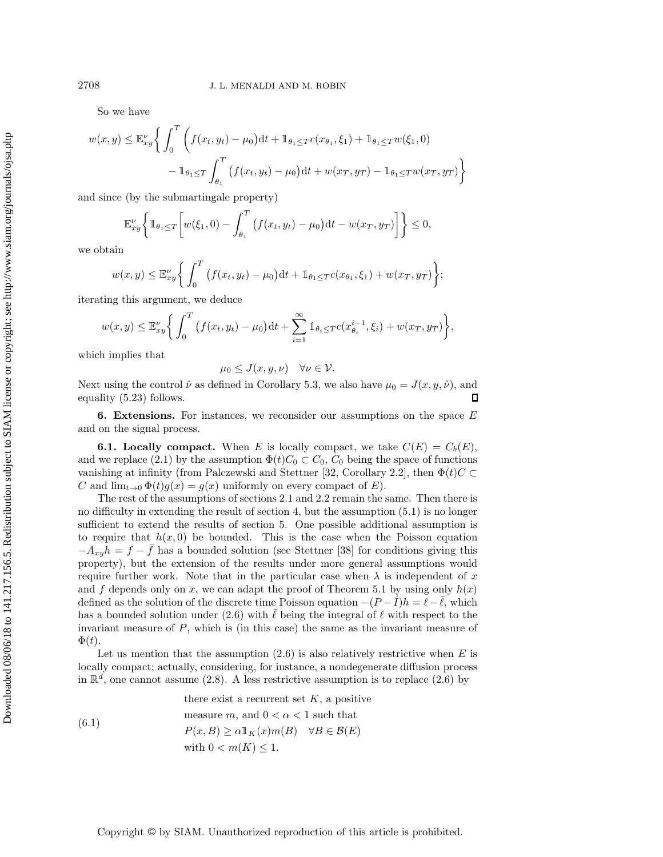So we have

$$
w(x,y) \leq \mathbb{E}_x^{\nu} \bigg\{ \int_0^T \bigg( f(x_t, y_t) - \mu_0 \big) dt + \mathbb{1}_{\theta_1 \leq T} c(x_{\theta_1}, \xi_1) + \mathbb{1}_{\theta_1 \leq T} w(\xi_1, 0)
$$

$$
- \mathbb{1}_{\theta_1 \leq T} \int_{\theta_1}^T \big( f(x_t, y_t) - \mu_0 \big) dt + w(x_T, y_T) - \mathbb{1}_{\theta_1 \leq T} w(x_T, y_T) \bigg\}
$$

and since (by the submartingale property)

$$
\mathbb{E}_x^{\nu} \left\{ \mathbb{1}_{\theta_1 \le T} \left[ w(\xi_1, 0) - \int_{\theta_1}^T \left( f(x_t, y_t) - \mu_0 \right) dt - w(x_T, y_T) \right] \right\} \le 0,
$$

we obtain

$$
w(x,y) \leq \mathbb{E}_x^{\nu} \bigg\{ \int_0^T \big( f(x_t, y_t) - \mu_0 \big) \mathrm{d}t + \mathbb{1}_{\theta_1 \leq T} c(x_{\theta_1}, \xi_1) + w(x_T, y_T) \bigg\};
$$

iterating this argument, we deduce

$$
w(x,y) \leq \mathbb{E}_{xy}^{\nu} \bigg\{ \int_0^T \big( f(x_t, y_t) - \mu_0 \big) \mathrm{d}t + \sum_{i=1}^{\infty} \mathbb{1}_{\theta_i \leq T} c(x_{\theta_i}^{i-1}, \xi_i) + w(x_T, y_T) \bigg\},
$$

which implies that

$$
\mu_0 \leq J(x, y, \nu) \quad \forall \nu \in \mathcal{V}.
$$

Next using the control  $\hat{\nu}$  as defined in Corollary [5.3,](#page-13-1) we also have  $\mu_0 = J(x, y, \hat{\nu})$ , and equality [\(5.23\)](#page-18-1) follows. Л

<span id="page-19-0"></span>**6. Extensions.** For instances, we reconsider our assumptions on the space E and on the signal process.

**6.1. Locally compact.** When E is locally compact, we take  $C(E) = C_b(E)$ , and we replace [\(2.1\)](#page-2-4) by the assumption  $\Phi(t)C_0 \subset C_0$ ,  $C_0$  being the space of functions vanishing at infinity (from Palczewski and Stettner [\[32,](#page-22-7) Corollary 2.2], then  $\Phi(t)C \subset$ C and  $\lim_{t\to 0} \Phi(t)g(x) = g(x)$  uniformly on every compact of E).

The rest of the assumptions of sections [2.1](#page-2-2) and [2.2](#page-3-7) remain the same. Then there is no difficulty in extending the result of section [4,](#page-8-0) but the assumption [\(5.1\)](#page-10-2) is no longer sufficient to extend the results of section [5.](#page-10-0) One possible additional assumption is to require that  $h(x, 0)$  be bounded. This is the case when the Poisson equation  $-A_{x}h = f - f$  has a bounded solution (see Stettner [\[38\]](#page-22-8) for conditions giving this property), but the extension of the results under more general assumptions would require further work. Note that in the particular case when  $\lambda$  is independent of x and f depends only on x, we can adapt the proof of Theorem [5.1](#page-10-3) by using only  $h(x)$ defined as the solution of the discrete time Poisson equation  $-(P - \tilde{I})h = \tilde{\ell} - \bar{\ell}$ , which has a bounded solution under [\(2.6\)](#page-3-0) with  $\ell$  being the integral of  $\ell$  with respect to the invariant measure of P, which is (in this case) the same as the invariant measure of  $\Phi(t)$ .

Let us mention that the assumption  $(2.6)$  is also relatively restrictive when E is locally compact; actually, considering, for instance, a nondegenerate diffusion process in  $\mathbb{R}^d$ , one cannot assume [\(2.8\)](#page-3-8). A less restrictive assumption is to replace [\(2.6\)](#page-3-0) by

<span id="page-19-1"></span>(6.1)  
\nthere exist a recurrent set 
$$
K
$$
, a positive  
\nmeasure  $m$ , and  $0 < \alpha < 1$  such that  
\n
$$
P(x, B) \ge \alpha 1_K(x)m(B) \quad \forall B \in \mathcal{B}(E)
$$
\nwith  $0 < m(K) \le 1$ .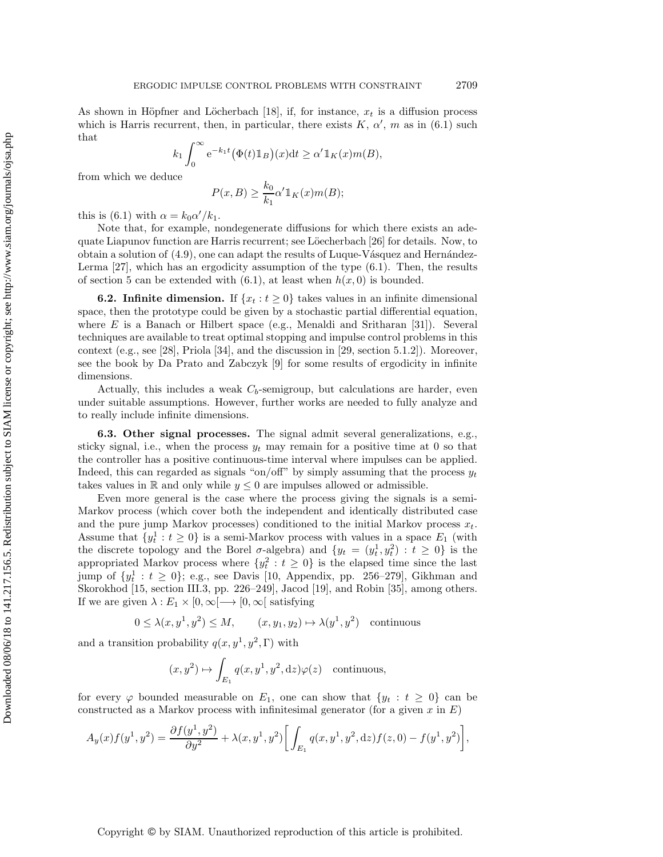As shown in Höpfner and Löcherbach [\[18\]](#page-21-20), if, for instance,  $x_t$  is a diffusion process which is Harris recurrent, then, in particular, there exists  $K, \alpha', m$  as in [\(6.1\)](#page-19-1) such that

$$
k_1 \int_0^\infty e^{-k_1 t} (\Phi(t) \mathbb{1}_B)(x) dt \ge \alpha' \mathbb{1}_K(x) m(B),
$$

from which we deduce

$$
P(x,B) \ge \frac{k_0}{k_1} \alpha' \mathbb{1}_K(x) m(B);
$$

this is [\(6.1\)](#page-19-1) with  $\alpha = k_0 \alpha'/k_1$ .

Note that, for example, nondegenerate diffusions for which there exists an ade-quate Liapunov function are Harris recurrent; see Löecherbach [\[26\]](#page-21-21) for details. Now, to obtain a solution of  $(4.9)$ , one can adapt the results of Luque-Vásquez and Hernández-Lerma [\[27\]](#page-22-9), which has an ergodicity assumption of the type [\(6.1\)](#page-19-1). Then, the results of section [5](#page-10-0) can be extended with  $(6.1)$ , at least when  $h(x, 0)$  is bounded.

**6.2. Infinite dimension.** If  $\{x_t : t \geq 0\}$  takes values in an infinite dimensional space, then the prototype could be given by a stochastic partial differential equation, where E is a Banach or Hilbert space (e.g., Menaldi and Sritharan [\[31\]](#page-22-10)). Several techniques are available to treat optimal stopping and impulse control problems in this context (e.g., see [\[28\]](#page-22-11), Priola [\[34\]](#page-22-12), and the discussion in [\[29,](#page-22-1) section 5.1.2]). Moreover, see the book by Da Prato and Zabczyk [\[9\]](#page-21-22) for some results of ergodicity in infinite dimensions.

Actually, this includes a weak  $C_b$ -semigroup, but calculations are harder, even under suitable assumptions. However, further works are needed to fully analyze and to really include infinite dimensions.

**6.3. Other signal processes.** The signal admit several generalizations, e.g., sticky signal, i.e., when the process  $y_t$  may remain for a positive time at 0 so that the controller has a positive continuous-time interval where impulses can be applied. Indeed, this can regarded as signals "on/off" by simply assuming that the process  $y_t$ takes values in R and only while  $y \leq 0$  are impulses allowed or admissible.

Even more general is the case where the process giving the signals is a semi-Markov process (which cover both the independent and identically distributed case and the pure jump Markov processes) conditioned to the initial Markov process  $x_t$ . Assume that  $\{y_t^1 : t \geq 0\}$  is a semi-Markov process with values in a space  $E_1$  (with the discrete topology and the Borel  $\sigma$ -algebra) and  $\{y_t = (y_t^1, y_t^2) : t \geq 0\}$  is the appropriated Markov process where  $\{y_t^2 : t \geq 0\}$  is the elapsed time since the last jump of  $\{y_t^1 : t \geq 0\}$ ; e.g., see Davis [\[10,](#page-21-2) Appendix, pp. 256–279], Gikhman and Skorokhod [\[15,](#page-21-23) section III.3, pp. 226–249], Jacod [\[19\]](#page-21-24), and Robin [\[35\]](#page-22-3), among others. If we are given  $\lambda : E_1 \times [0, \infty[ \longrightarrow [0, \infty[$  satisfying

$$
0 \le \lambda(x, y^1, y^2) \le M, \qquad (x, y_1, y_2) \mapsto \lambda(y^1, y^2) \quad \text{continuous}
$$

and a transition probability  $q(x, y^1, y^2, \Gamma)$  with

$$
(x, y^2) \mapsto \int_{E_1} q(x, y^1, y^2, dz) \varphi(z)
$$
 continuous,

for every  $\varphi$  bounded measurable on  $E_1$ , one can show that  $\{y_t : t \geq 0\}$  can be constructed as a Markov process with infinitesimal generator (for a given x in  $E$ )

$$
A_y(x)f(y^1, y^2) = \frac{\partial f(y^1, y^2)}{\partial y^2} + \lambda(x, y^1, y^2) \bigg[ \int_{E_1} q(x, y^1, y^2, dz) f(z, 0) - f(y^1, y^2) \bigg],
$$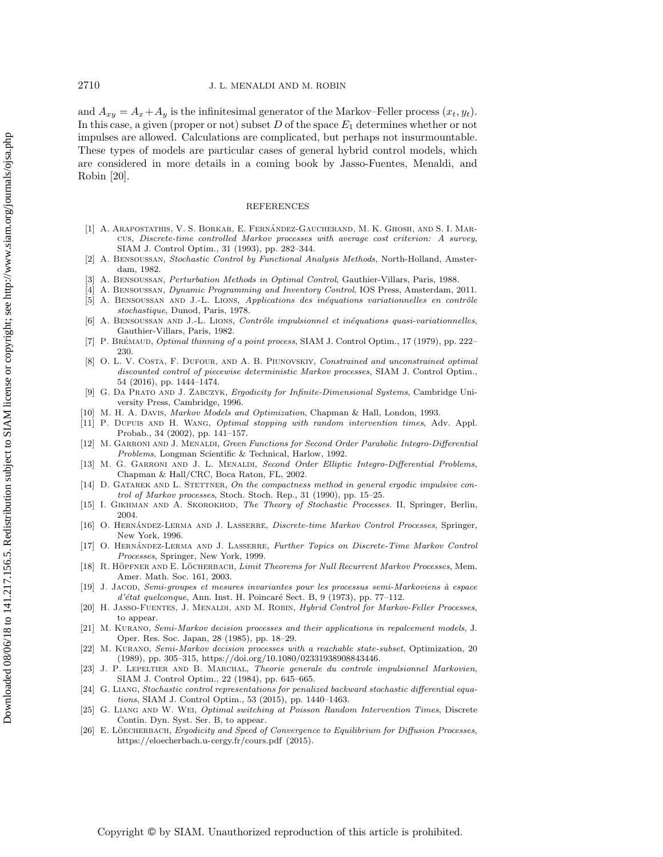and  $A_{xy} = A_x + A_y$  is the infinitesimal generator of the Markov–Feller process  $(x_t, y_t)$ . In this case, a given (proper or not) subset  $D$  of the space  $E_1$  determines whether or not impulses are allowed. Calculations are complicated, but perhaps not insurmountable. These types of models are particular cases of general hybrid control models, which are considered in more details in a coming book by Jasso-Fuentes, Menaldi, and Robin [\[20\]](#page-21-25).

#### REFERENCES

- <span id="page-21-18"></span>[1] A. ARAPOSTATHIS, V. S. BORKAR, E. FERNÁNDEZ-GAUCHERAND, M. K. GHOSH, AND S. I. MARcus, Discrete-time controlled Markov processes with average cost criterion: A survey, SIAM J. Control Optim., 31 (1993), pp. 282–344.
- <span id="page-21-1"></span>[2] A. Bensoussan, Stochastic Control by Functional Analysis Methods, North-Holland, Amsterdam, 1982.
- <span id="page-21-13"></span><span id="page-21-9"></span>[3] A. Bensoussan, Perturbation Methods in Optimal Control, Gauthier-Villars, Paris, 1988.
- <span id="page-21-19"></span>[4] A. Bensoussan, Dynamic Programming and Inventory Control, IOS Press, Amsterdam, 2011.
- [5] A. BENSOUSSAN AND J.-L. LIONS, Applications des inéquations variationnelles en contrôle stochastique, Dunod, Paris, 1978.
- <span id="page-21-0"></span>[6] A. BENSOUSSAN AND J.-L. LIONS, Contrôle impulsionnel et inéquations quasi-variationnelles, Gauthier-Villars, Paris, 1982.
- <span id="page-21-5"></span>[7] P. BRÉMAUD, Optimal thinning of a point process, SIAM J. Control Optim., 17 (1979), pp. 222-230.
- <span id="page-21-8"></span>[8] O. L. V. COSTA, F. DUFOUR, AND A. B. PIUNOVSKIY, Constrained and unconstrained optimal discounted control of piecewise deterministic Markov processes, SIAM J. Control Optim., 54 (2016), pp. 1444–1474.
- <span id="page-21-22"></span>[9] G. Da Prato and J. Zabczyk, Ergodicity for Infinite-Dimensional Systems, Cambridge University Press, Cambridge, 1996.
- <span id="page-21-4"></span><span id="page-21-2"></span>[10] M. H. A. Davis, Markov Models and Optimization, Chapman & Hall, London, 1993.
- [11] P. DUPUIS AND H. WANG, *Optimal stopping with random intervention times*, Adv. Appl. Probab., 34 (2002), pp. 141–157.
- <span id="page-21-10"></span>[12] M. GARRONI AND J. MENALDI, Green Functions for Second Order Parabolic Integro-Differential Problems, Longman Scientific & Technical, Harlow, 1992.
- <span id="page-21-11"></span>[13] M. G. GARRONI AND J. L. MENALDI, Second Order Elliptic Integro-Differential Problems, Chapman & Hall/CRC, Boca Raton, FL, 2002.
- <span id="page-21-3"></span>[14] D. GATAREK AND L. STETTNER, On the compactness method in general ergodic impulsive control of Markov processes, Stoch. Stoch. Rep., 31 (1990), pp. 15–25.
- <span id="page-21-23"></span><span id="page-21-14"></span>[15] I. GIKHMAN AND A. SKOROKHOD, The Theory of Stochastic Processes. II, Springer, Berlin, 2004.
- [16] O. HERNÁNDEZ-LERMA AND J. LASSERRE, *Discrete-time Markov Control Processes*, Springer, New York, 1996.
- <span id="page-21-15"></span>[17] O. HERNÁNDEZ-LERMA AND J. LASSERRE, Further Topics on Discrete-Time Markov Control Processes, Springer, New York, 1999.
- <span id="page-21-20"></span>[18] R. HÖPFNER AND E. LÖCHERBACH, Limit Theorems for Null Recurrent Markov Processes, Mem. Amer. Math. Soc. 161, 2003.
- <span id="page-21-24"></span>[19] J. JACOD, Semi-groupes et mesures invariantes pour les processus semi-Markoviens à espace  $d'$ état quelconque, Ann. Inst. H. Poincaré Sect. B, 9 (1973), pp. 77–112.
- <span id="page-21-25"></span>[20] H. JASSO-FUENTES, J. MENALDI, AND M. ROBIN, *Hybrid Control for Markov-Feller Processes*, to appear.
- <span id="page-21-16"></span>[21] M. Kurano, Semi-Markov decision processes and their applications in repalcement models, J. Oper. Res. Soc. Japan, 28 (1985), pp. 18–29.
- <span id="page-21-17"></span>[22] M. Kurano, Semi-Markov decision processes with a reachable state-subset, Optimization, 20 (1989), pp. 305–315, [https://doi.org/10.1080/02331938908843446.](https://doi.org/10.1080/02331938908843446)
- <span id="page-21-12"></span>[23] J. P. Lepeltier and B. Marchal, Theorie generale du controle impulsionnel Markovien, SIAM J. Control Optim., 22 (1984), pp. 645–665.
- <span id="page-21-6"></span>[24] G. Liang, Stochastic control representations for penalized backward stochastic differential equations, SIAM J. Control Optim., 53 (2015), pp. 1440–1463.
- <span id="page-21-7"></span>[25] G. LIANG AND W. WEI, Optimal switching at Poisson Random Intervention Times, Discrete Contin. Dyn. Syst. Ser. B, to appear.
- <span id="page-21-21"></span>[26] E. LÖECHERBACH, Ergodicity and Speed of Convergence to Equilibrium for Diffusion Processes, <https://eloecherbach.u-cergy.fr/cours.pdf> (2015).